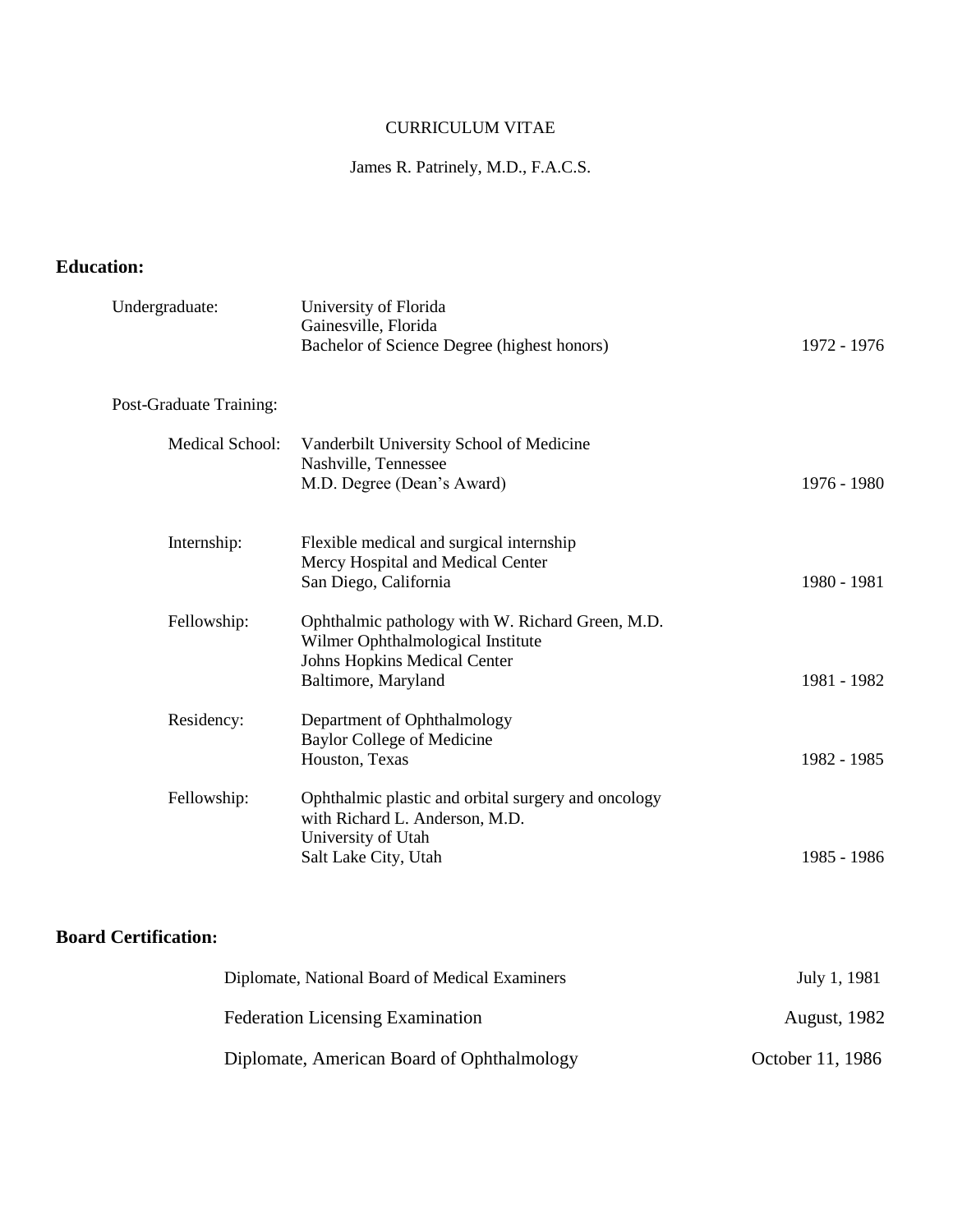### CURRICULUM VITAE

### James R. Patrinely, M.D., F.A.C.S.

### **Education:**

| Undergraduate:          | University of Florida<br>Gainesville, Florida<br>Bachelor of Science Degree (highest honors)                                                        | 1972 - 1976 |
|-------------------------|-----------------------------------------------------------------------------------------------------------------------------------------------------|-------------|
| Post-Graduate Training: |                                                                                                                                                     |             |
| Medical School:         | Vanderbilt University School of Medicine<br>Nashville, Tennessee<br>M.D. Degree (Dean's Award)                                                      | 1976 - 1980 |
| Internship:             | Flexible medical and surgical internship<br>Mercy Hospital and Medical Center<br>San Diego, California                                              | 1980 - 1981 |
| Fellowship:             | Ophthalmic pathology with W. Richard Green, M.D.<br>Wilmer Ophthalmological Institute<br><b>Johns Hopkins Medical Center</b><br>Baltimore, Maryland | 1981 - 1982 |
| Residency:              | Department of Ophthalmology<br><b>Baylor College of Medicine</b><br>Houston, Texas                                                                  | 1982 - 1985 |
| Fellowship:             | Ophthalmic plastic and orbital surgery and oncology<br>with Richard L. Anderson, M.D.<br>University of Utah<br>Salt Lake City, Utah                 | 1985 - 1986 |

# **Board Certification:**

| Diplomate, National Board of Medical Examiners | July 1, 1981        |
|------------------------------------------------|---------------------|
| <b>Federation Licensing Examination</b>        | <b>August, 1982</b> |
| Diplomate, American Board of Ophthalmology     | October 11, 1986    |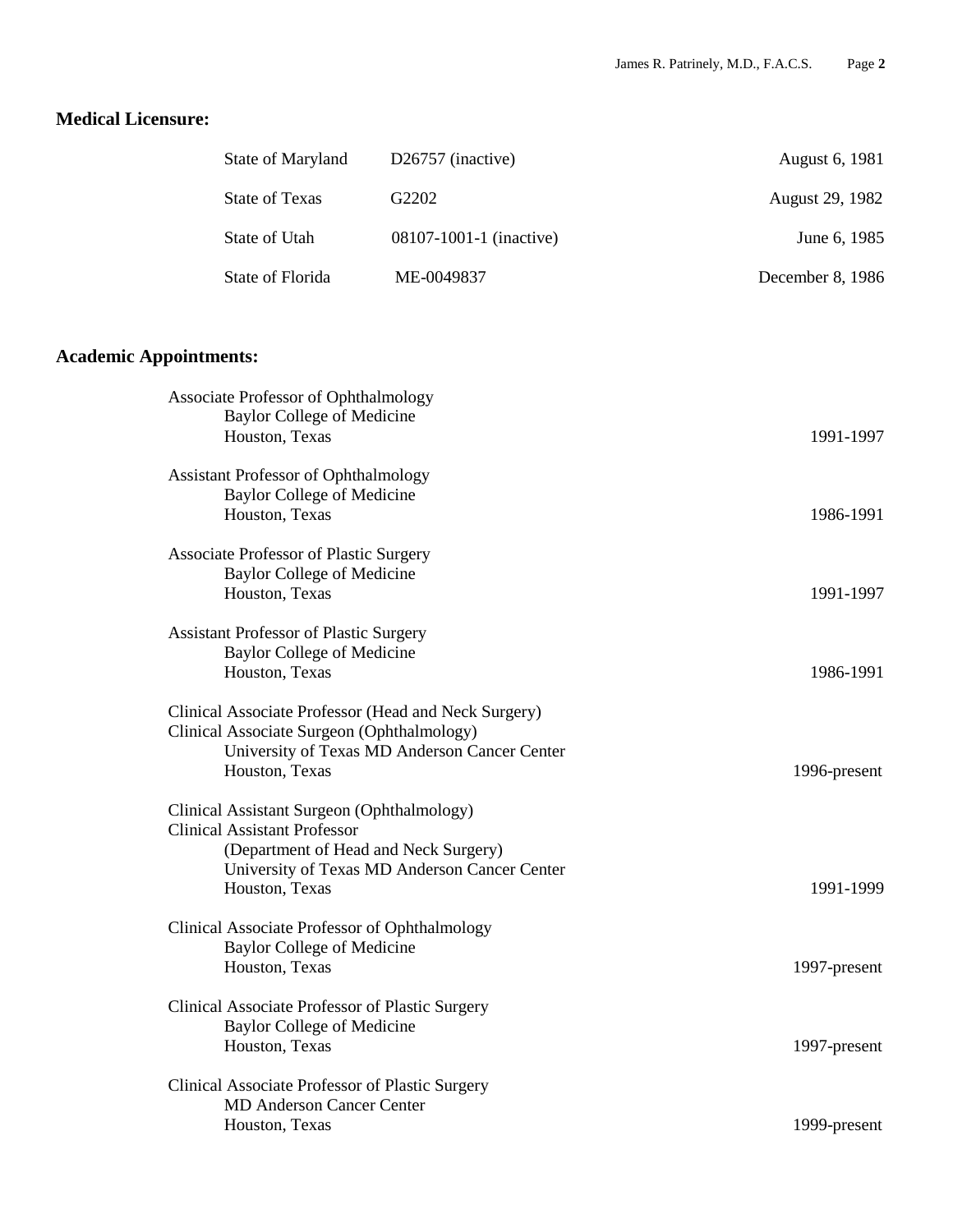## **Medical Licensure:**

| State of Maryland | $D26757$ (inactive)     | August 6, 1981   |
|-------------------|-------------------------|------------------|
| State of Texas    | G2202                   | August 29, 1982  |
| State of Utah     | 08107-1001-1 (inactive) | June 6, 1985     |
| State of Florida  | ME-0049837              | December 8, 1986 |

# **Academic Appointments:**

| Associate Professor of Ophthalmology<br><b>Baylor College of Medicine</b><br>Houston, Texas                                                                                                   | 1991-1997    |
|-----------------------------------------------------------------------------------------------------------------------------------------------------------------------------------------------|--------------|
| <b>Assistant Professor of Ophthalmology</b><br><b>Baylor College of Medicine</b><br>Houston, Texas                                                                                            | 1986-1991    |
| <b>Associate Professor of Plastic Surgery</b><br><b>Baylor College of Medicine</b><br>Houston, Texas                                                                                          | 1991-1997    |
| <b>Assistant Professor of Plastic Surgery</b><br><b>Baylor College of Medicine</b><br>Houston, Texas                                                                                          | 1986-1991    |
| Clinical Associate Professor (Head and Neck Surgery)<br>Clinical Associate Surgeon (Ophthalmology)<br>University of Texas MD Anderson Cancer Center<br>Houston, Texas                         | 1996-present |
| Clinical Assistant Surgeon (Ophthalmology)<br><b>Clinical Assistant Professor</b><br>(Department of Head and Neck Surgery)<br>University of Texas MD Anderson Cancer Center<br>Houston, Texas | 1991-1999    |
| Clinical Associate Professor of Ophthalmology<br><b>Baylor College of Medicine</b><br>Houston, Texas                                                                                          | 1997-present |
| Clinical Associate Professor of Plastic Surgery<br><b>Baylor College of Medicine</b><br>Houston, Texas                                                                                        | 1997-present |
| Clinical Associate Professor of Plastic Surgery<br><b>MD Anderson Cancer Center</b><br>Houston, Texas                                                                                         | 1999-present |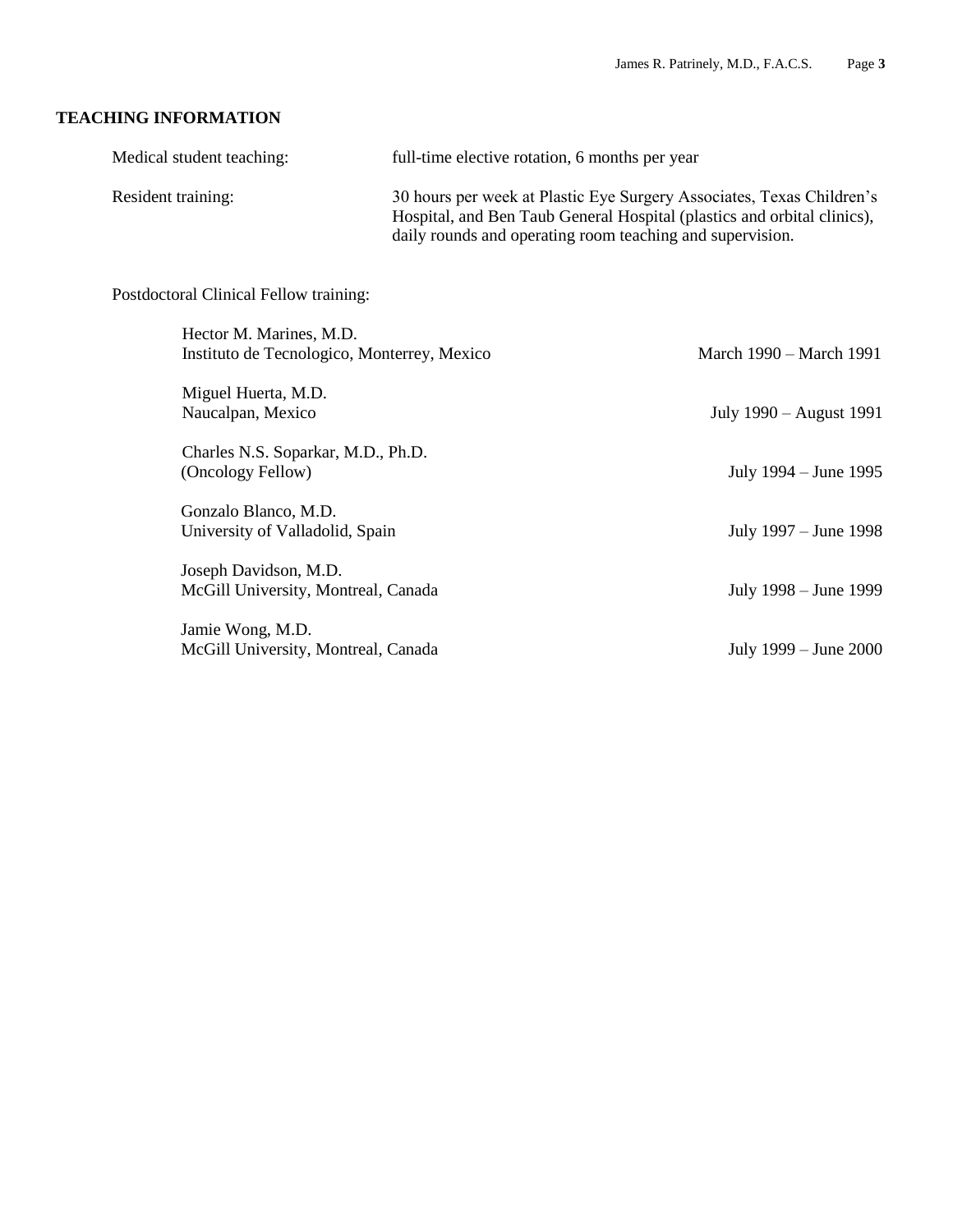#### **TEACHING INFORMATION**

| Medical student teaching: | full-time elective rotation, 6 months per year                                                                                                                                                                |
|---------------------------|---------------------------------------------------------------------------------------------------------------------------------------------------------------------------------------------------------------|
| Resident training:        | 30 hours per week at Plastic Eye Surgery Associates, Texas Children's<br>Hospital, and Ben Taub General Hospital (plastics and orbital clinics),<br>daily rounds and operating room teaching and supervision. |

Postdoctoral Clinical Fellow training:

| Hector M. Marines, M.D.<br>Instituto de Tecnologico, Monterrey, Mexico | March 1990 – March 1991 |
|------------------------------------------------------------------------|-------------------------|
| Miguel Huerta, M.D.<br>Naucalpan, Mexico                               | July 1990 – August 1991 |
| Charles N.S. Soparkar, M.D., Ph.D.<br>(Oncology Fellow)                | July 1994 – June 1995   |
| Gonzalo Blanco, M.D.<br>University of Valladolid, Spain                | July 1997 – June 1998   |
| Joseph Davidson, M.D.<br>McGill University, Montreal, Canada           | July 1998 – June 1999   |
| Jamie Wong, M.D.<br>McGill University, Montreal, Canada                | July 1999 – June 2000   |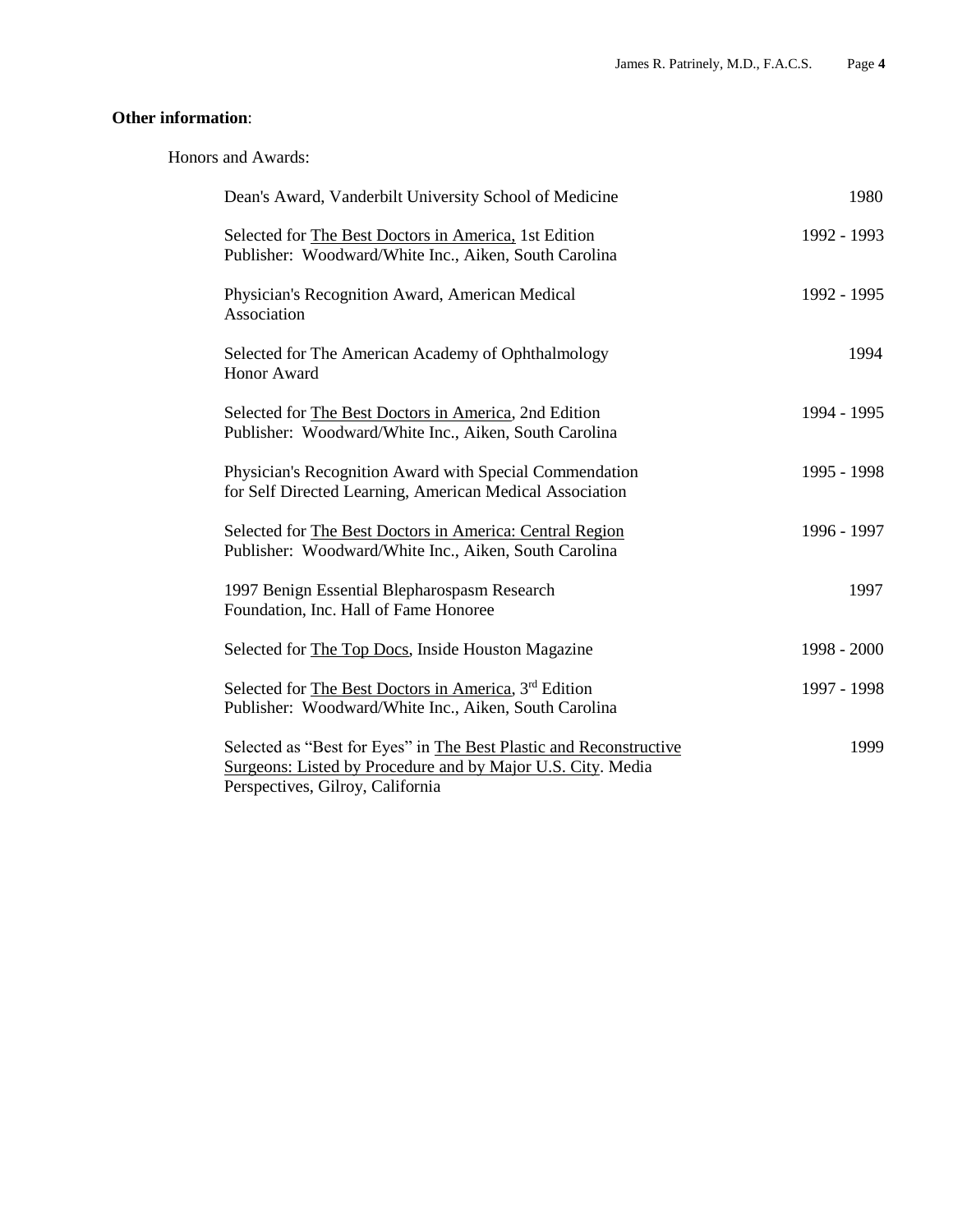### **Other information**:

Honors and Awards:

| Dean's Award, Vanderbilt University School of Medicine                                                                                                                | 1980        |
|-----------------------------------------------------------------------------------------------------------------------------------------------------------------------|-------------|
| Selected for The Best Doctors in America, 1st Edition<br>Publisher: Woodward/White Inc., Aiken, South Carolina                                                        | 1992 - 1993 |
| Physician's Recognition Award, American Medical<br>Association                                                                                                        | 1992 - 1995 |
| Selected for The American Academy of Ophthalmology<br>Honor Award                                                                                                     | 1994        |
| Selected for The Best Doctors in America, 2nd Edition<br>Publisher: Woodward/White Inc., Aiken, South Carolina                                                        | 1994 - 1995 |
| Physician's Recognition Award with Special Commendation<br>for Self Directed Learning, American Medical Association                                                   | 1995 - 1998 |
| Selected for The Best Doctors in America: Central Region<br>Publisher: Woodward/White Inc., Aiken, South Carolina                                                     | 1996 - 1997 |
| 1997 Benign Essential Blepharospasm Research<br>Foundation, Inc. Hall of Fame Honoree                                                                                 | 1997        |
| Selected for The Top Docs, Inside Houston Magazine                                                                                                                    | 1998 - 2000 |
| Selected for The Best Doctors in America, 3rd Edition<br>Publisher: Woodward/White Inc., Aiken, South Carolina                                                        | 1997 - 1998 |
| Selected as "Best for Eyes" in The Best Plastic and Reconstructive<br>Surgeons: Listed by Procedure and by Major U.S. City. Media<br>Perspectives, Gilroy, California | 1999        |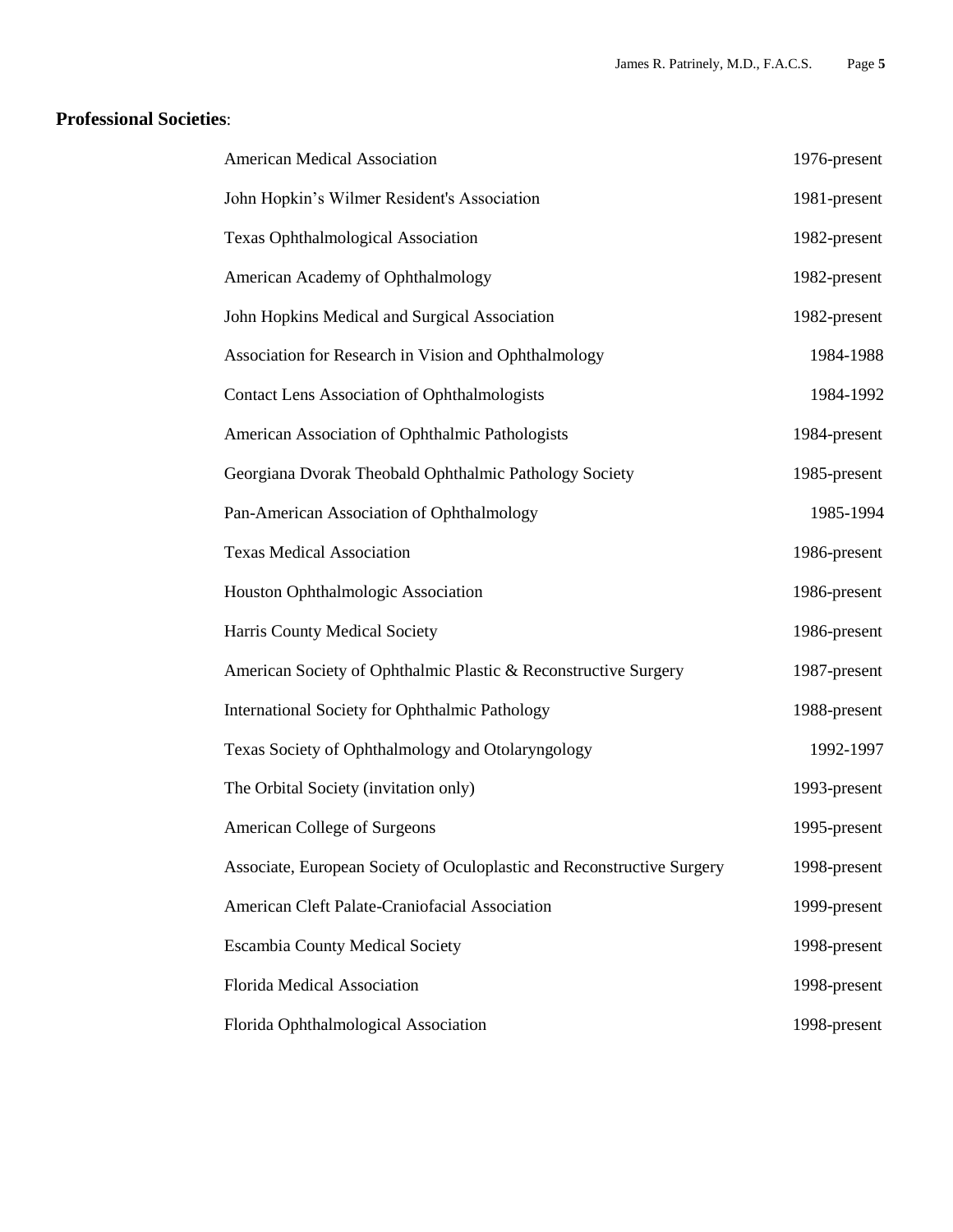### **Professional Societies**:

| American Medical Association                                           | 1976-present |
|------------------------------------------------------------------------|--------------|
| John Hopkin's Wilmer Resident's Association                            | 1981-present |
| <b>Texas Ophthalmological Association</b>                              | 1982-present |
| American Academy of Ophthalmology                                      | 1982-present |
| John Hopkins Medical and Surgical Association                          | 1982-present |
| Association for Research in Vision and Ophthalmology                   | 1984-1988    |
| <b>Contact Lens Association of Ophthalmologists</b>                    | 1984-1992    |
| American Association of Ophthalmic Pathologists                        | 1984-present |
| Georgiana Dvorak Theobald Ophthalmic Pathology Society                 | 1985-present |
| Pan-American Association of Ophthalmology                              | 1985-1994    |
| <b>Texas Medical Association</b>                                       | 1986-present |
| Houston Ophthalmologic Association                                     | 1986-present |
| Harris County Medical Society                                          | 1986-present |
| American Society of Ophthalmic Plastic & Reconstructive Surgery        | 1987-present |
| International Society for Ophthalmic Pathology                         | 1988-present |
| Texas Society of Ophthalmology and Otolaryngology                      | 1992-1997    |
| The Orbital Society (invitation only)                                  | 1993-present |
| American College of Surgeons                                           | 1995-present |
| Associate, European Society of Oculoplastic and Reconstructive Surgery | 1998-present |
| American Cleft Palate-Craniofacial Association                         | 1999-present |
| <b>Escambia County Medical Society</b>                                 | 1998-present |
| Florida Medical Association                                            | 1998-present |
| Florida Ophthalmological Association                                   | 1998-present |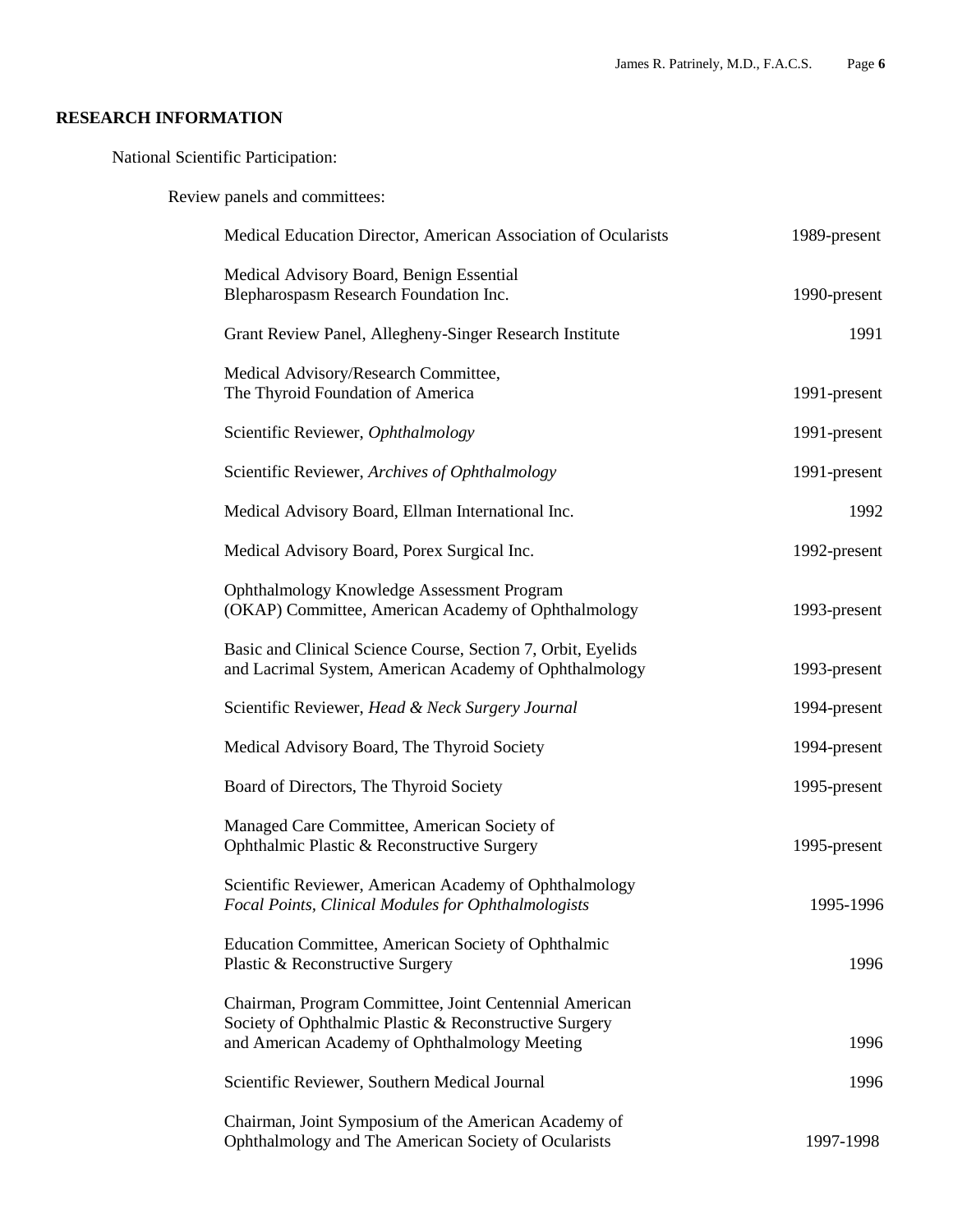### **RESEARCH INFORMATION**

National Scientific Participation:

Review panels and committees:

| Medical Education Director, American Association of Ocularists                                                                                                    | 1989-present |
|-------------------------------------------------------------------------------------------------------------------------------------------------------------------|--------------|
| Medical Advisory Board, Benign Essential<br>Blepharospasm Research Foundation Inc.                                                                                | 1990-present |
| Grant Review Panel, Allegheny-Singer Research Institute                                                                                                           | 1991         |
| Medical Advisory/Research Committee,<br>The Thyroid Foundation of America                                                                                         | 1991-present |
| Scientific Reviewer, Ophthalmology                                                                                                                                | 1991-present |
| Scientific Reviewer, Archives of Ophthalmology                                                                                                                    | 1991-present |
| Medical Advisory Board, Ellman International Inc.                                                                                                                 | 1992         |
| Medical Advisory Board, Porex Surgical Inc.                                                                                                                       | 1992-present |
| Ophthalmology Knowledge Assessment Program<br>(OKAP) Committee, American Academy of Ophthalmology                                                                 | 1993-present |
| Basic and Clinical Science Course, Section 7, Orbit, Eyelids<br>and Lacrimal System, American Academy of Ophthalmology                                            | 1993-present |
| Scientific Reviewer, Head & Neck Surgery Journal                                                                                                                  | 1994-present |
| Medical Advisory Board, The Thyroid Society                                                                                                                       | 1994-present |
| Board of Directors, The Thyroid Society                                                                                                                           | 1995-present |
| Managed Care Committee, American Society of<br>Ophthalmic Plastic & Reconstructive Surgery                                                                        | 1995-present |
| Scientific Reviewer, American Academy of Ophthalmology<br>Focal Points, Clinical Modules for Ophthalmologists                                                     | 1995-1996    |
| Education Committee, American Society of Ophthalmic<br>Plastic & Reconstructive Surgery                                                                           | 1996         |
| Chairman, Program Committee, Joint Centennial American<br>Society of Ophthalmic Plastic & Reconstructive Surgery<br>and American Academy of Ophthalmology Meeting | 1996         |
| Scientific Reviewer, Southern Medical Journal                                                                                                                     | 1996         |
| Chairman, Joint Symposium of the American Academy of<br>Ophthalmology and The American Society of Ocularists                                                      | 1997-1998    |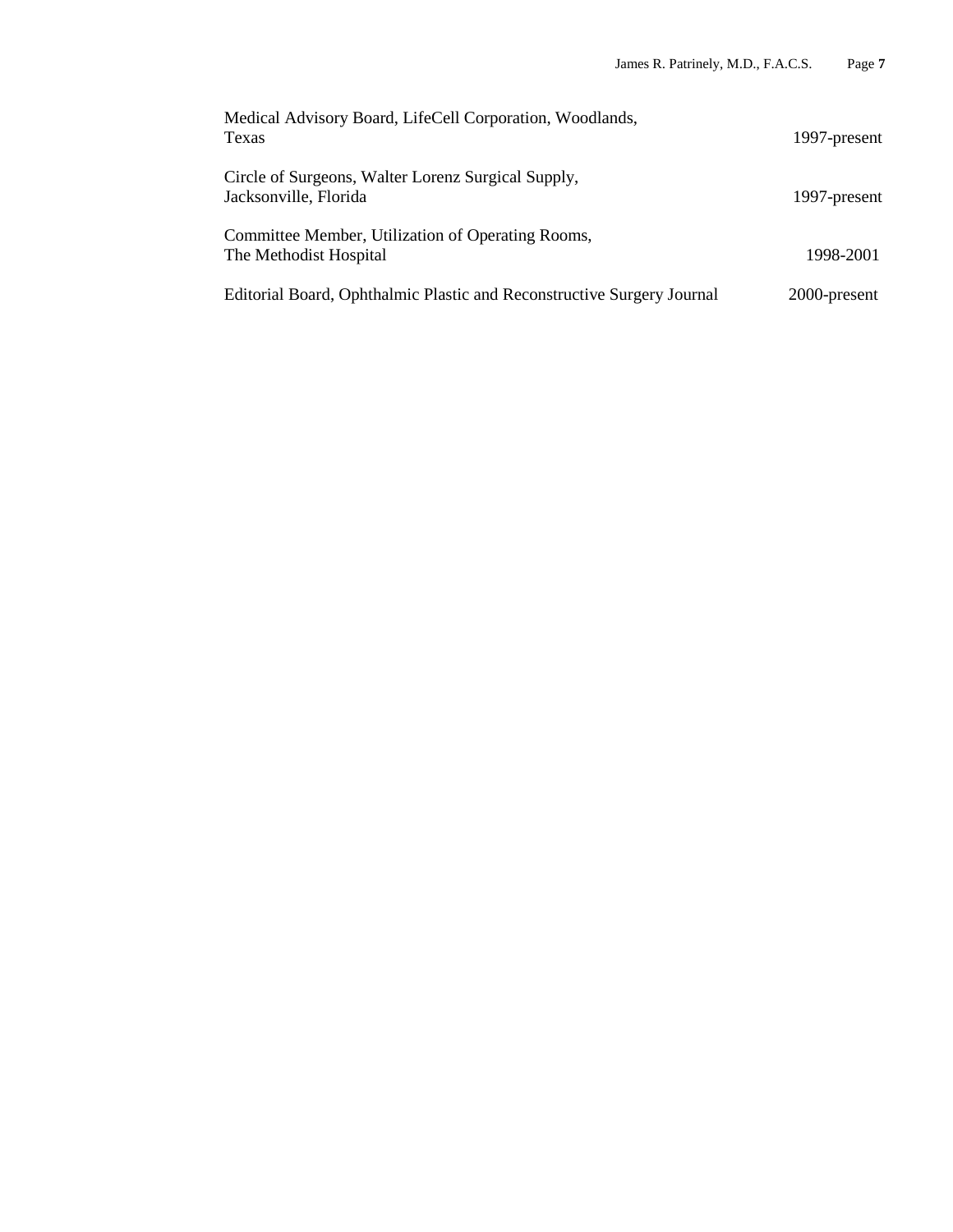| Medical Advisory Board, LifeCell Corporation, Woodlands,<br>Texas           | 1997-present |
|-----------------------------------------------------------------------------|--------------|
| Circle of Surgeons, Walter Lorenz Surgical Supply,<br>Jacksonville, Florida | 1997-present |
| Committee Member, Utilization of Operating Rooms,<br>The Methodist Hospital | 1998-2001    |
| Editorial Board, Ophthalmic Plastic and Reconstructive Surgery Journal      | 2000-present |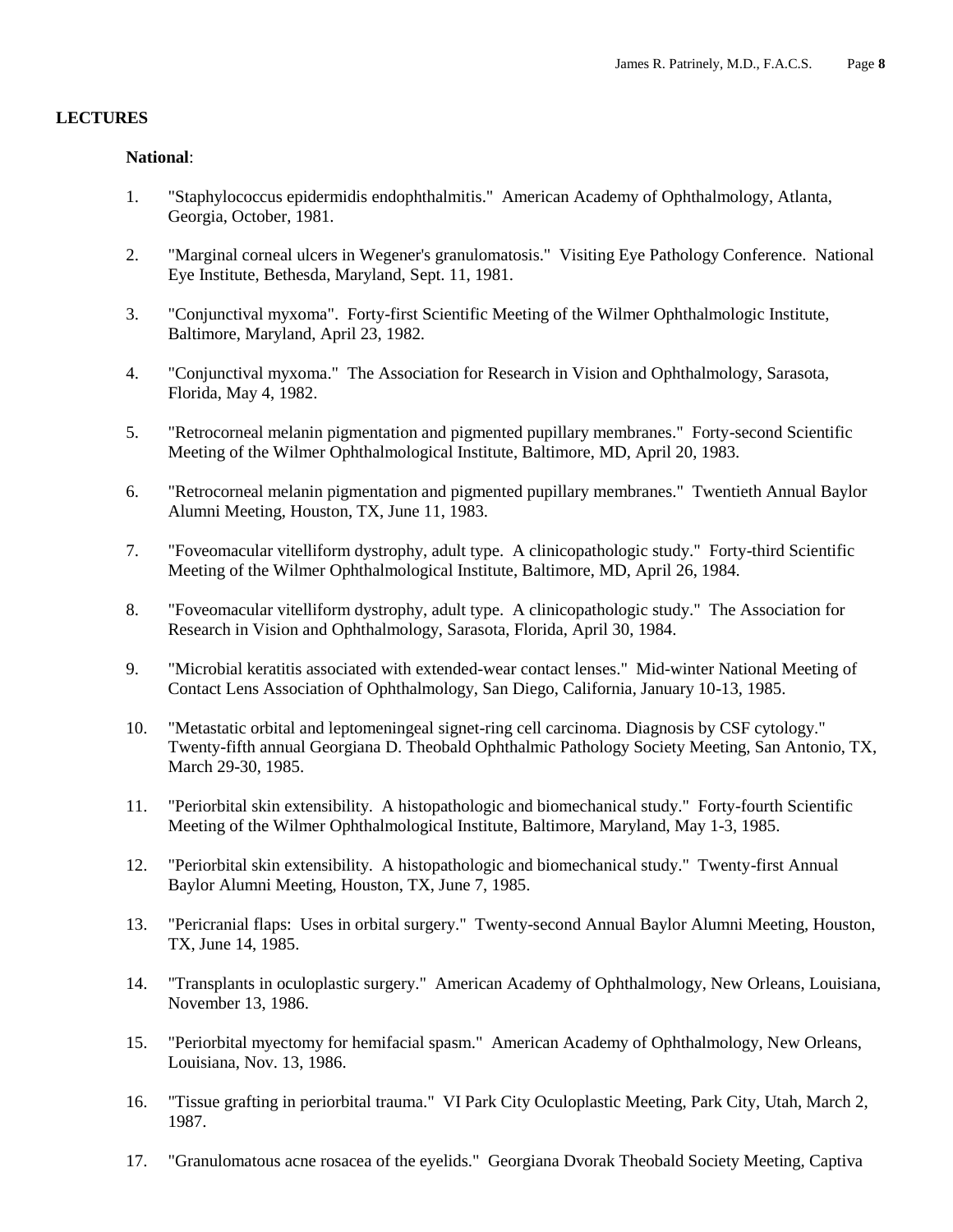#### **LECTURES**

#### **National**:

- 1. "Staphylococcus epidermidis endophthalmitis." American Academy of Ophthalmology, Atlanta, Georgia, October, 1981.
- 2. "Marginal corneal ulcers in Wegener's granulomatosis." Visiting Eye Pathology Conference. National Eye Institute, Bethesda, Maryland, Sept. 11, 1981.
- 3. "Conjunctival myxoma". Forty-first Scientific Meeting of the Wilmer Ophthalmologic Institute, Baltimore, Maryland, April 23, 1982.
- 4. "Conjunctival myxoma." The Association for Research in Vision and Ophthalmology, Sarasota, Florida, May 4, 1982.
- 5. "Retrocorneal melanin pigmentation and pigmented pupillary membranes." Forty-second Scientific Meeting of the Wilmer Ophthalmological Institute, Baltimore, MD, April 20, 1983.
- 6. "Retrocorneal melanin pigmentation and pigmented pupillary membranes." Twentieth Annual Baylor Alumni Meeting, Houston, TX, June 11, 1983.
- 7. "Foveomacular vitelliform dystrophy, adult type. A clinicopathologic study." Forty-third Scientific Meeting of the Wilmer Ophthalmological Institute, Baltimore, MD, April 26, 1984.
- 8. "Foveomacular vitelliform dystrophy, adult type. A clinicopathologic study." The Association for Research in Vision and Ophthalmology, Sarasota, Florida, April 30, 1984.
- 9. "Microbial keratitis associated with extended-wear contact lenses." Mid-winter National Meeting of Contact Lens Association of Ophthalmology, San Diego, California, January 10-13, 1985.
- 10. "Metastatic orbital and leptomeningeal signet-ring cell carcinoma. Diagnosis by CSF cytology." Twenty-fifth annual Georgiana D. Theobald Ophthalmic Pathology Society Meeting, San Antonio, TX, March 29-30, 1985.
- 11. "Periorbital skin extensibility. A histopathologic and biomechanical study." Forty-fourth Scientific Meeting of the Wilmer Ophthalmological Institute, Baltimore, Maryland, May 1-3, 1985.
- 12. "Periorbital skin extensibility. A histopathologic and biomechanical study." Twenty-first Annual Baylor Alumni Meeting, Houston, TX, June 7, 1985.
- 13. "Pericranial flaps: Uses in orbital surgery." Twenty-second Annual Baylor Alumni Meeting, Houston, TX, June 14, 1985.
- 14. "Transplants in oculoplastic surgery." American Academy of Ophthalmology, New Orleans, Louisiana, November 13, 1986.
- 15. "Periorbital myectomy for hemifacial spasm." American Academy of Ophthalmology, New Orleans, Louisiana, Nov. 13, 1986.
- 16. "Tissue grafting in periorbital trauma." VI Park City Oculoplastic Meeting, Park City, Utah, March 2, 1987.
- 17. "Granulomatous acne rosacea of the eyelids." Georgiana Dvorak Theobald Society Meeting, Captiva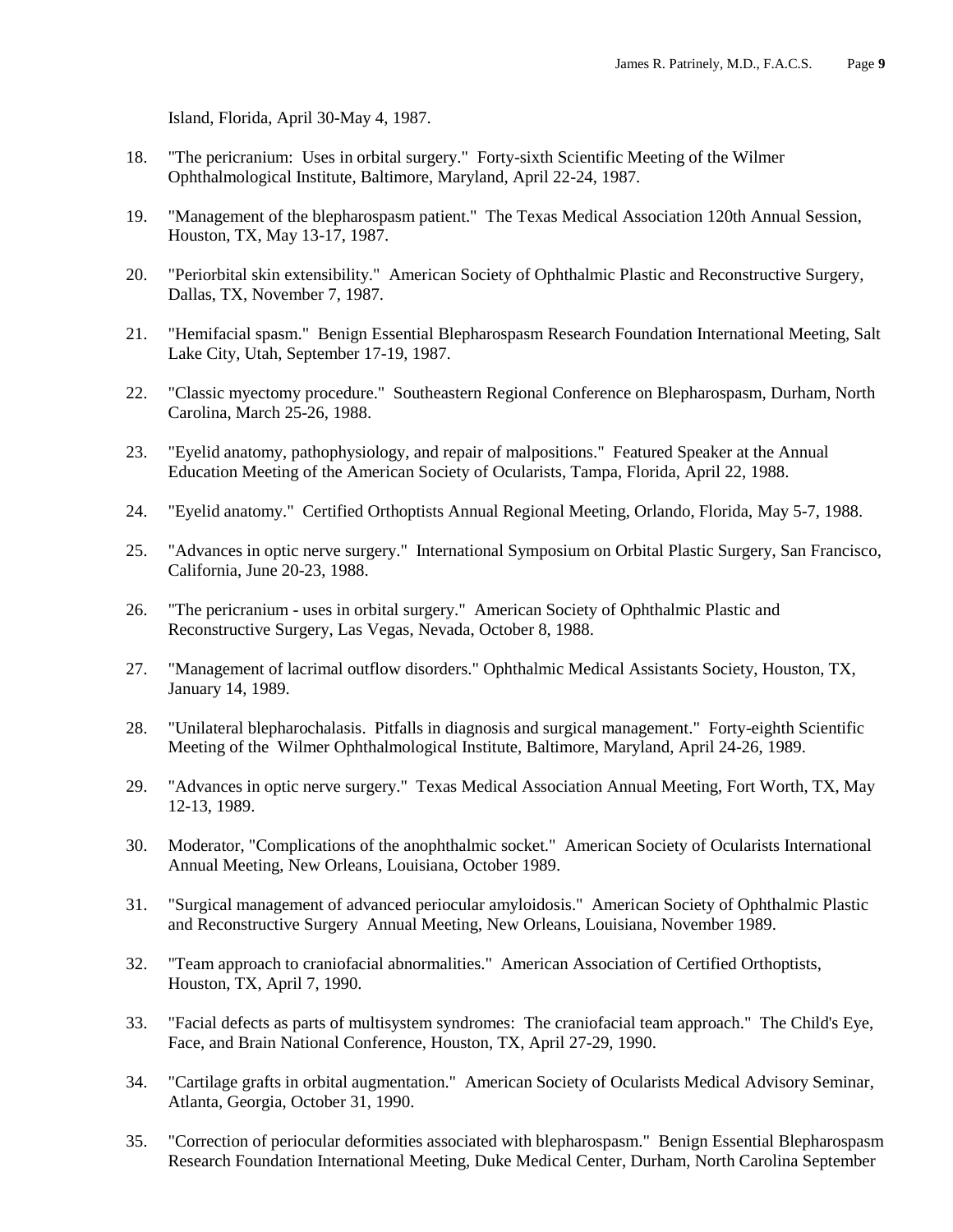Island, Florida, April 30-May 4, 1987.

- 18. "The pericranium: Uses in orbital surgery." Forty-sixth Scientific Meeting of the Wilmer Ophthalmological Institute, Baltimore, Maryland, April 22-24, 1987.
- 19. "Management of the blepharospasm patient." The Texas Medical Association 120th Annual Session, Houston, TX, May 13-17, 1987.
- 20. "Periorbital skin extensibility." American Society of Ophthalmic Plastic and Reconstructive Surgery, Dallas, TX, November 7, 1987.
- 21. "Hemifacial spasm." Benign Essential Blepharospasm Research Foundation International Meeting, Salt Lake City, Utah, September 17-19, 1987.
- 22. "Classic myectomy procedure." Southeastern Regional Conference on Blepharospasm, Durham, North Carolina, March 25-26, 1988.
- 23. "Eyelid anatomy, pathophysiology, and repair of malpositions." Featured Speaker at the Annual Education Meeting of the American Society of Ocularists, Tampa, Florida, April 22, 1988.
- 24. "Eyelid anatomy." Certified Orthoptists Annual Regional Meeting, Orlando, Florida, May 5-7, 1988.
- 25. "Advances in optic nerve surgery." International Symposium on Orbital Plastic Surgery, San Francisco, California, June 20-23, 1988.
- 26. "The pericranium uses in orbital surgery." American Society of Ophthalmic Plastic and Reconstructive Surgery, Las Vegas, Nevada, October 8, 1988.
- 27. "Management of lacrimal outflow disorders." Ophthalmic Medical Assistants Society, Houston, TX, January 14, 1989.
- 28. "Unilateral blepharochalasis. Pitfalls in diagnosis and surgical management." Forty-eighth Scientific Meeting of the Wilmer Ophthalmological Institute, Baltimore, Maryland, April 24-26, 1989.
- 29. "Advances in optic nerve surgery." Texas Medical Association Annual Meeting, Fort Worth, TX, May 12-13, 1989.
- 30. Moderator, "Complications of the anophthalmic socket." American Society of Ocularists International Annual Meeting, New Orleans, Louisiana, October 1989.
- 31. "Surgical management of advanced periocular amyloidosis." American Society of Ophthalmic Plastic and Reconstructive Surgery Annual Meeting, New Orleans, Louisiana, November 1989.
- 32. "Team approach to craniofacial abnormalities." American Association of Certified Orthoptists, Houston, TX, April 7, 1990.
- 33. "Facial defects as parts of multisystem syndromes: The craniofacial team approach." The Child's Eye, Face, and Brain National Conference, Houston, TX, April 27-29, 1990.
- 34. "Cartilage grafts in orbital augmentation." American Society of Ocularists Medical Advisory Seminar, Atlanta, Georgia, October 31, 1990.
- 35. "Correction of periocular deformities associated with blepharospasm." Benign Essential Blepharospasm Research Foundation International Meeting, Duke Medical Center, Durham, North Carolina September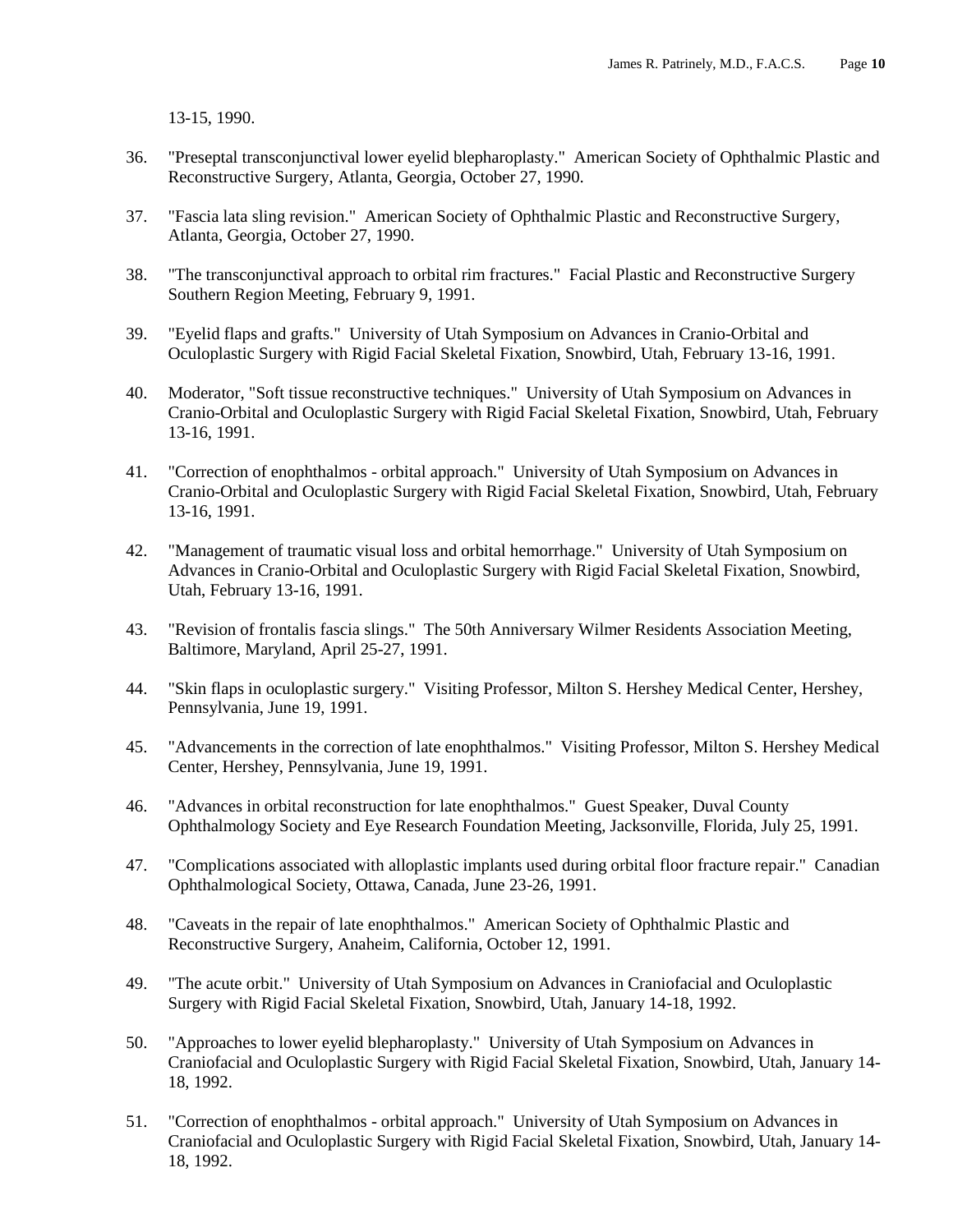13-15, 1990.

- 36. "Preseptal transconjunctival lower eyelid blepharoplasty." American Society of Ophthalmic Plastic and Reconstructive Surgery, Atlanta, Georgia, October 27, 1990.
- 37. "Fascia lata sling revision." American Society of Ophthalmic Plastic and Reconstructive Surgery, Atlanta, Georgia, October 27, 1990.
- 38. "The transconjunctival approach to orbital rim fractures." Facial Plastic and Reconstructive Surgery Southern Region Meeting, February 9, 1991.
- 39. "Eyelid flaps and grafts." University of Utah Symposium on Advances in Cranio-Orbital and Oculoplastic Surgery with Rigid Facial Skeletal Fixation, Snowbird, Utah, February 13-16, 1991.
- 40. Moderator, "Soft tissue reconstructive techniques." University of Utah Symposium on Advances in Cranio-Orbital and Oculoplastic Surgery with Rigid Facial Skeletal Fixation, Snowbird, Utah, February 13-16, 1991.
- 41. "Correction of enophthalmos orbital approach." University of Utah Symposium on Advances in Cranio-Orbital and Oculoplastic Surgery with Rigid Facial Skeletal Fixation, Snowbird, Utah, February 13-16, 1991.
- 42. "Management of traumatic visual loss and orbital hemorrhage." University of Utah Symposium on Advances in Cranio-Orbital and Oculoplastic Surgery with Rigid Facial Skeletal Fixation, Snowbird, Utah, February 13-16, 1991.
- 43. "Revision of frontalis fascia slings." The 50th Anniversary Wilmer Residents Association Meeting, Baltimore, Maryland, April 25-27, 1991.
- 44. "Skin flaps in oculoplastic surgery." Visiting Professor, Milton S. Hershey Medical Center, Hershey, Pennsylvania, June 19, 1991.
- 45. "Advancements in the correction of late enophthalmos." Visiting Professor, Milton S. Hershey Medical Center, Hershey, Pennsylvania, June 19, 1991.
- 46. "Advances in orbital reconstruction for late enophthalmos." Guest Speaker, Duval County Ophthalmology Society and Eye Research Foundation Meeting, Jacksonville, Florida, July 25, 1991.
- 47. "Complications associated with alloplastic implants used during orbital floor fracture repair." Canadian Ophthalmological Society, Ottawa, Canada, June 23-26, 1991.
- 48. "Caveats in the repair of late enophthalmos." American Society of Ophthalmic Plastic and Reconstructive Surgery, Anaheim, California, October 12, 1991.
- 49. "The acute orbit." University of Utah Symposium on Advances in Craniofacial and Oculoplastic Surgery with Rigid Facial Skeletal Fixation, Snowbird, Utah, January 14-18, 1992.
- 50. "Approaches to lower eyelid blepharoplasty." University of Utah Symposium on Advances in Craniofacial and Oculoplastic Surgery with Rigid Facial Skeletal Fixation, Snowbird, Utah, January 14- 18, 1992.
- 51. "Correction of enophthalmos orbital approach." University of Utah Symposium on Advances in Craniofacial and Oculoplastic Surgery with Rigid Facial Skeletal Fixation, Snowbird, Utah, January 14- 18, 1992.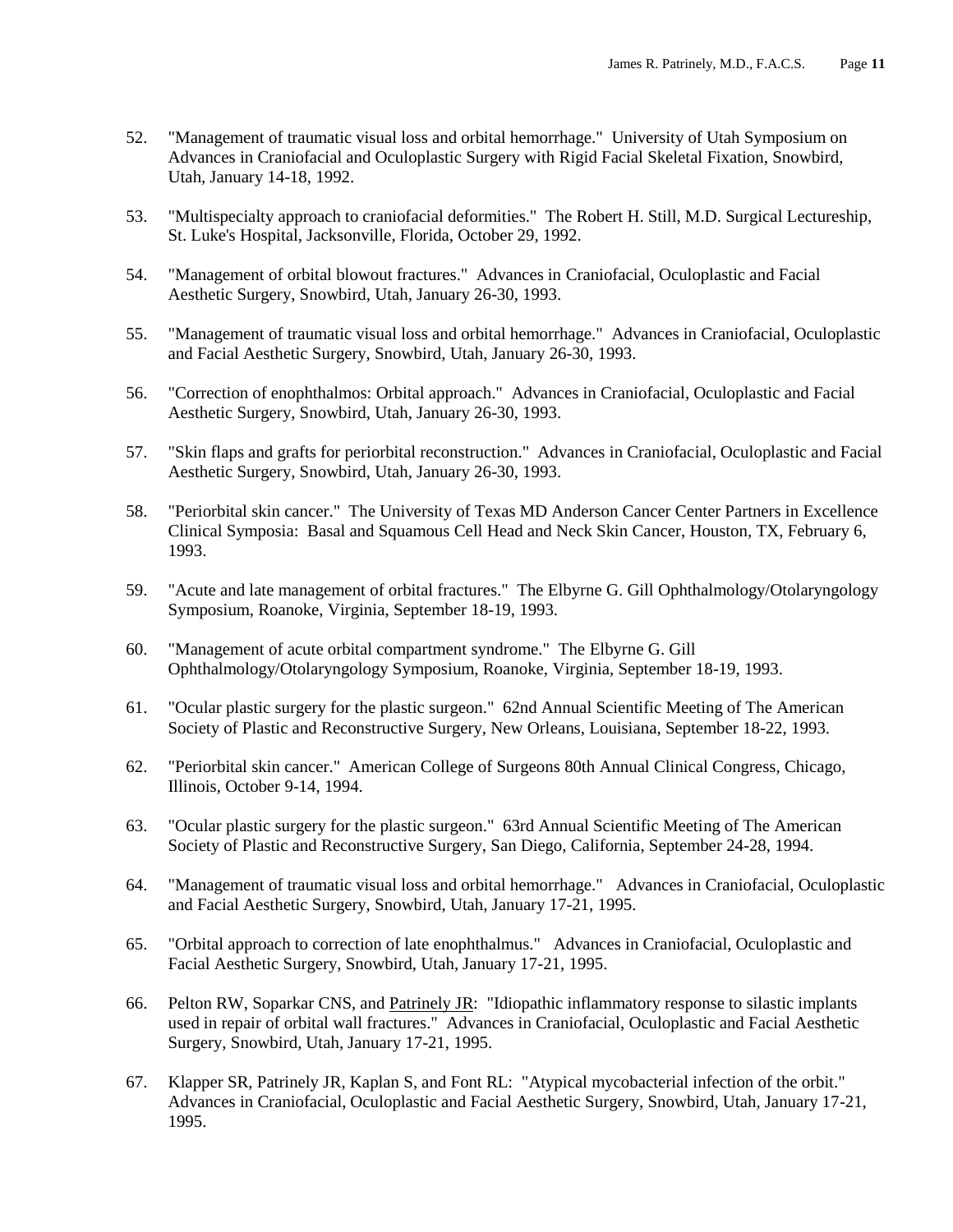- 52. "Management of traumatic visual loss and orbital hemorrhage." University of Utah Symposium on Advances in Craniofacial and Oculoplastic Surgery with Rigid Facial Skeletal Fixation, Snowbird, Utah, January 14-18, 1992.
- 53. "Multispecialty approach to craniofacial deformities." The Robert H. Still, M.D. Surgical Lectureship, St. Luke's Hospital, Jacksonville, Florida, October 29, 1992.
- 54. "Management of orbital blowout fractures." Advances in Craniofacial, Oculoplastic and Facial Aesthetic Surgery, Snowbird, Utah, January 26-30, 1993.
- 55. "Management of traumatic visual loss and orbital hemorrhage." Advances in Craniofacial, Oculoplastic and Facial Aesthetic Surgery, Snowbird, Utah, January 26-30, 1993.
- 56. "Correction of enophthalmos: Orbital approach." Advances in Craniofacial, Oculoplastic and Facial Aesthetic Surgery, Snowbird, Utah, January 26-30, 1993.
- 57. "Skin flaps and grafts for periorbital reconstruction." Advances in Craniofacial, Oculoplastic and Facial Aesthetic Surgery, Snowbird, Utah, January 26-30, 1993.
- 58. "Periorbital skin cancer." The University of Texas MD Anderson Cancer Center Partners in Excellence Clinical Symposia: Basal and Squamous Cell Head and Neck Skin Cancer, Houston, TX, February 6, 1993.
- 59. "Acute and late management of orbital fractures." The Elbyrne G. Gill Ophthalmology/Otolaryngology Symposium, Roanoke, Virginia, September 18-19, 1993.
- 60. "Management of acute orbital compartment syndrome." The Elbyrne G. Gill Ophthalmology/Otolaryngology Symposium, Roanoke, Virginia, September 18-19, 1993.
- 61. "Ocular plastic surgery for the plastic surgeon." 62nd Annual Scientific Meeting of The American Society of Plastic and Reconstructive Surgery, New Orleans, Louisiana, September 18-22, 1993.
- 62. "Periorbital skin cancer." American College of Surgeons 80th Annual Clinical Congress, Chicago, Illinois, October 9-14, 1994.
- 63. "Ocular plastic surgery for the plastic surgeon." 63rd Annual Scientific Meeting of The American Society of Plastic and Reconstructive Surgery, San Diego, California, September 24-28, 1994.
- 64. "Management of traumatic visual loss and orbital hemorrhage." Advances in Craniofacial, Oculoplastic and Facial Aesthetic Surgery, Snowbird, Utah, January 17-21, 1995.
- 65. "Orbital approach to correction of late enophthalmus." Advances in Craniofacial, Oculoplastic and Facial Aesthetic Surgery, Snowbird, Utah, January 17-21, 1995.
- 66. Pelton RW, Soparkar CNS, and Patrinely JR: "Idiopathic inflammatory response to silastic implants used in repair of orbital wall fractures." Advances in Craniofacial, Oculoplastic and Facial Aesthetic Surgery, Snowbird, Utah, January 17-21, 1995.
- 67. Klapper SR, Patrinely JR, Kaplan S, and Font RL: "Atypical mycobacterial infection of the orbit." Advances in Craniofacial, Oculoplastic and Facial Aesthetic Surgery, Snowbird, Utah, January 17-21, 1995.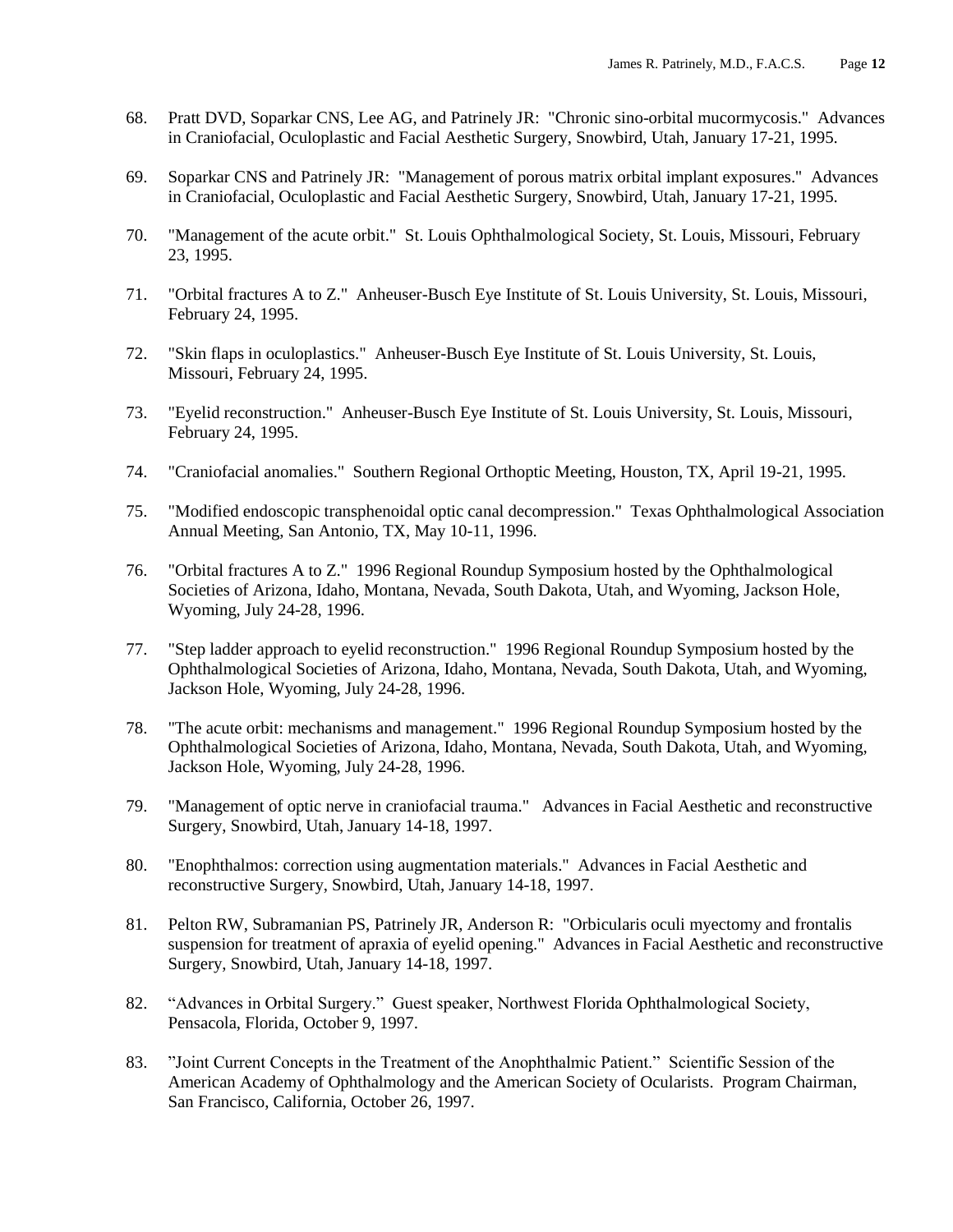- 68. Pratt DVD, Soparkar CNS, Lee AG, and Patrinely JR: "Chronic sino-orbital mucormycosis." Advances in Craniofacial, Oculoplastic and Facial Aesthetic Surgery, Snowbird, Utah, January 17-21, 1995.
- 69. Soparkar CNS and Patrinely JR: "Management of porous matrix orbital implant exposures." Advances in Craniofacial, Oculoplastic and Facial Aesthetic Surgery, Snowbird, Utah, January 17-21, 1995.
- 70. "Management of the acute orbit." St. Louis Ophthalmological Society, St. Louis, Missouri, February 23, 1995.
- 71. "Orbital fractures A to Z." Anheuser-Busch Eye Institute of St. Louis University, St. Louis, Missouri, February 24, 1995.
- 72. "Skin flaps in oculoplastics." Anheuser-Busch Eye Institute of St. Louis University, St. Louis, Missouri, February 24, 1995.
- 73. "Eyelid reconstruction." Anheuser-Busch Eye Institute of St. Louis University, St. Louis, Missouri, February 24, 1995.
- 74. "Craniofacial anomalies." Southern Regional Orthoptic Meeting, Houston, TX, April 19-21, 1995.
- 75. "Modified endoscopic transphenoidal optic canal decompression." Texas Ophthalmological Association Annual Meeting, San Antonio, TX, May 10-11, 1996.
- 76. "Orbital fractures A to Z." 1996 Regional Roundup Symposium hosted by the Ophthalmological Societies of Arizona, Idaho, Montana, Nevada, South Dakota, Utah, and Wyoming, Jackson Hole, Wyoming, July 24-28, 1996.
- 77. "Step ladder approach to eyelid reconstruction." 1996 Regional Roundup Symposium hosted by the Ophthalmological Societies of Arizona, Idaho, Montana, Nevada, South Dakota, Utah, and Wyoming, Jackson Hole, Wyoming, July 24-28, 1996.
- 78. "The acute orbit: mechanisms and management." 1996 Regional Roundup Symposium hosted by the Ophthalmological Societies of Arizona, Idaho, Montana, Nevada, South Dakota, Utah, and Wyoming, Jackson Hole, Wyoming, July 24-28, 1996.
- 79. "Management of optic nerve in craniofacial trauma." Advances in Facial Aesthetic and reconstructive Surgery, Snowbird, Utah, January 14-18, 1997.
- 80. "Enophthalmos: correction using augmentation materials." Advances in Facial Aesthetic and reconstructive Surgery, Snowbird, Utah, January 14-18, 1997.
- 81. Pelton RW, Subramanian PS, Patrinely JR, Anderson R: "Orbicularis oculi myectomy and frontalis suspension for treatment of apraxia of eyelid opening." Advances in Facial Aesthetic and reconstructive Surgery, Snowbird, Utah, January 14-18, 1997.
- 82. "Advances in Orbital Surgery." Guest speaker, Northwest Florida Ophthalmological Society, Pensacola, Florida, October 9, 1997.
- 83. "Joint Current Concepts in the Treatment of the Anophthalmic Patient." Scientific Session of the American Academy of Ophthalmology and the American Society of Ocularists. Program Chairman, San Francisco, California, October 26, 1997.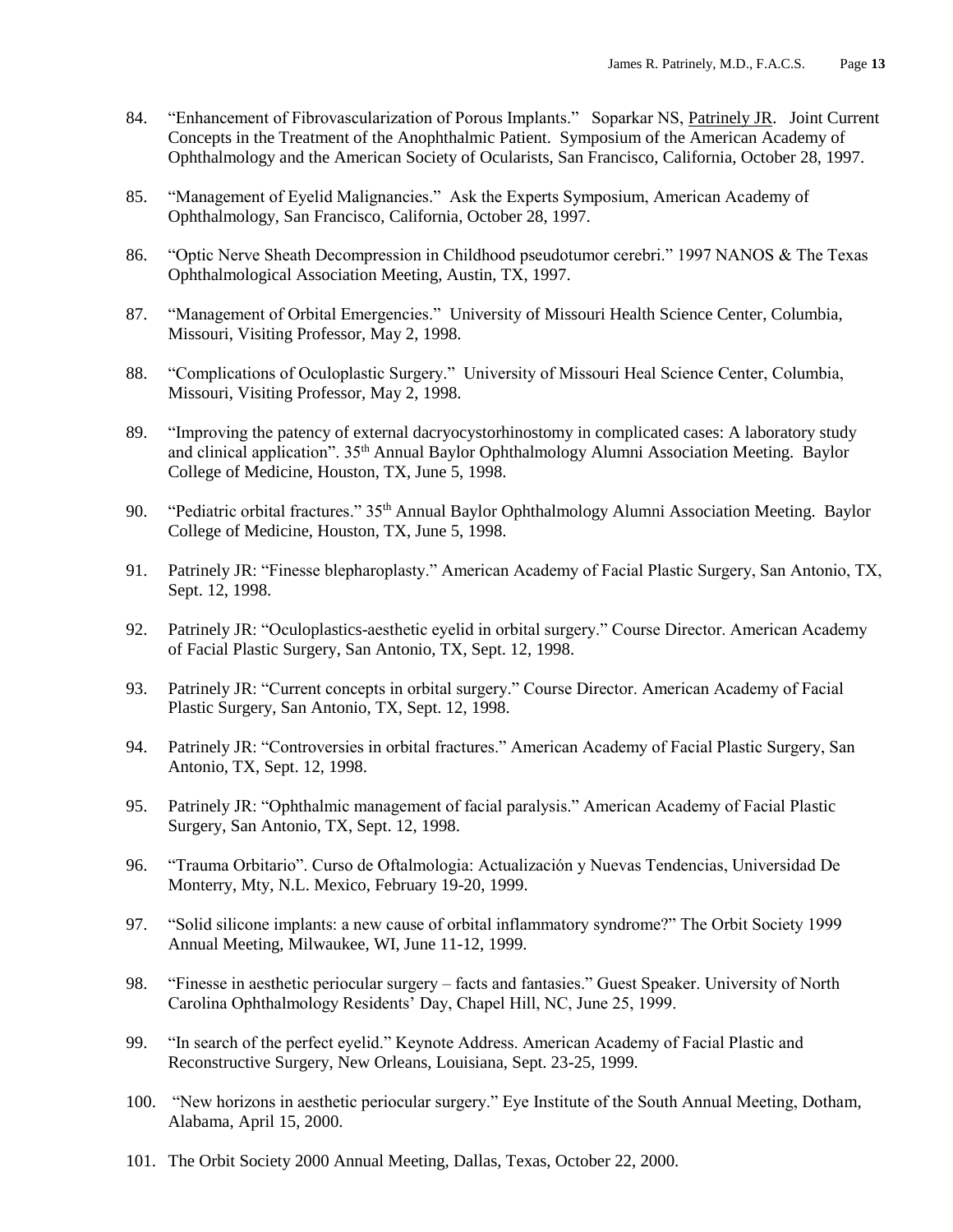- 84. "Enhancement of Fibrovascularization of Porous Implants." Soparkar NS, Patrinely JR. Joint Current Concepts in the Treatment of the Anophthalmic Patient. Symposium of the American Academy of Ophthalmology and the American Society of Ocularists, San Francisco, California, October 28, 1997.
- 85. "Management of Eyelid Malignancies." Ask the Experts Symposium, American Academy of Ophthalmology, San Francisco, California, October 28, 1997.
- 86. "Optic Nerve Sheath Decompression in Childhood pseudotumor cerebri." 1997 NANOS & The Texas Ophthalmological Association Meeting, Austin, TX, 1997.
- 87. "Management of Orbital Emergencies." University of Missouri Health Science Center, Columbia, Missouri, Visiting Professor, May 2, 1998.
- 88. "Complications of Oculoplastic Surgery." University of Missouri Heal Science Center, Columbia, Missouri, Visiting Professor, May 2, 1998.
- 89. "Improving the patency of external dacryocystorhinostomy in complicated cases: A laboratory study and clinical application". 35<sup>th</sup> Annual Baylor Ophthalmology Alumni Association Meeting. Baylor College of Medicine, Houston, TX, June 5, 1998.
- 90. "Pediatric orbital fractures." 35<sup>th</sup> Annual Baylor Ophthalmology Alumni Association Meeting. Baylor College of Medicine, Houston, TX, June 5, 1998.
- 91. Patrinely JR: "Finesse blepharoplasty." American Academy of Facial Plastic Surgery, San Antonio, TX, Sept. 12, 1998.
- 92. Patrinely JR: "Oculoplastics-aesthetic eyelid in orbital surgery." Course Director. American Academy of Facial Plastic Surgery, San Antonio, TX, Sept. 12, 1998.
- 93. Patrinely JR: "Current concepts in orbital surgery." Course Director. American Academy of Facial Plastic Surgery, San Antonio, TX, Sept. 12, 1998.
- 94. Patrinely JR: "Controversies in orbital fractures." American Academy of Facial Plastic Surgery, San Antonio, TX, Sept. 12, 1998.
- 95. Patrinely JR: "Ophthalmic management of facial paralysis." American Academy of Facial Plastic Surgery, San Antonio, TX, Sept. 12, 1998.
- 96. "Trauma Orbitario". Curso de Oftalmologia: Actualización y Nuevas Tendencias, Universidad De Monterry, Mty, N.L. Mexico, February 19-20, 1999.
- 97. "Solid silicone implants: a new cause of orbital inflammatory syndrome?" The Orbit Society 1999 Annual Meeting, Milwaukee, WI, June 11-12, 1999.
- 98. "Finesse in aesthetic periocular surgery facts and fantasies." Guest Speaker. University of North Carolina Ophthalmology Residents' Day, Chapel Hill, NC, June 25, 1999.
- 99. "In search of the perfect eyelid." Keynote Address. American Academy of Facial Plastic and Reconstructive Surgery, New Orleans, Louisiana, Sept. 23-25, 1999.
- 100. "New horizons in aesthetic periocular surgery." Eye Institute of the South Annual Meeting, Dotham, Alabama, April 15, 2000.
- 101. The Orbit Society 2000 Annual Meeting, Dallas, Texas, October 22, 2000.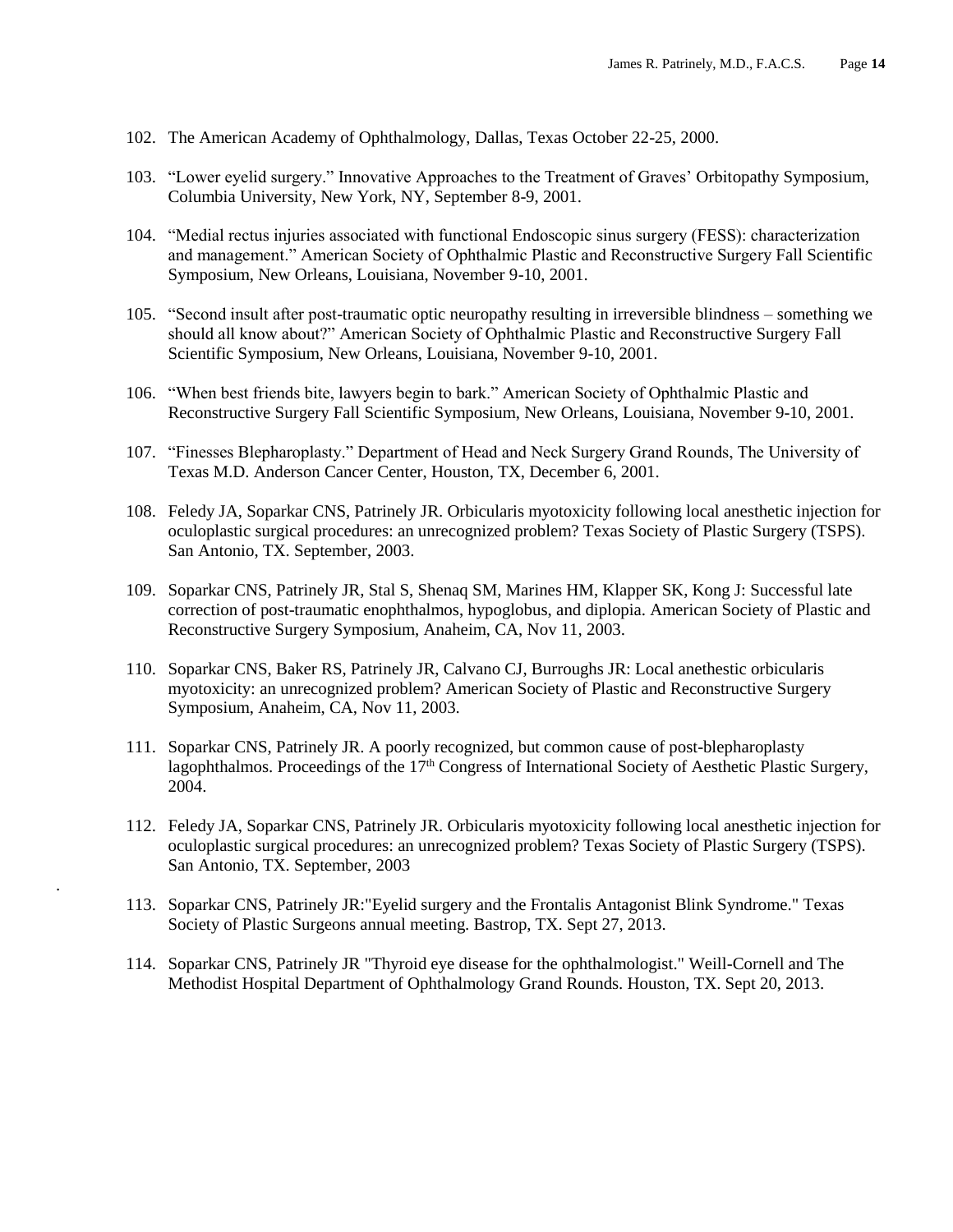- 102. The American Academy of Ophthalmology, Dallas, Texas October 22-25, 2000.
- 103. "Lower eyelid surgery." Innovative Approaches to the Treatment of Graves' Orbitopathy Symposium, Columbia University, New York, NY, September 8-9, 2001.
- 104. "Medial rectus injuries associated with functional Endoscopic sinus surgery (FESS): characterization and management." American Society of Ophthalmic Plastic and Reconstructive Surgery Fall Scientific Symposium, New Orleans, Louisiana, November 9-10, 2001.
- 105. "Second insult after post-traumatic optic neuropathy resulting in irreversible blindness something we should all know about?" American Society of Ophthalmic Plastic and Reconstructive Surgery Fall Scientific Symposium, New Orleans, Louisiana, November 9-10, 2001.
- 106. "When best friends bite, lawyers begin to bark." American Society of Ophthalmic Plastic and Reconstructive Surgery Fall Scientific Symposium, New Orleans, Louisiana, November 9-10, 2001.
- 107. "Finesses Blepharoplasty." Department of Head and Neck Surgery Grand Rounds, The University of Texas M.D. Anderson Cancer Center, Houston, TX, December 6, 2001.
- 108. Feledy JA, Soparkar CNS, Patrinely JR. Orbicularis myotoxicity following local anesthetic injection for oculoplastic surgical procedures: an unrecognized problem? Texas Society of Plastic Surgery (TSPS). San Antonio, TX. September, 2003.
- 109. Soparkar CNS, Patrinely JR, Stal S, Shenaq SM, Marines HM, Klapper SK, Kong J: Successful late correction of post-traumatic enophthalmos, hypoglobus, and diplopia. American Society of Plastic and Reconstructive Surgery Symposium, Anaheim, CA, Nov 11, 2003.
- 110. Soparkar CNS, Baker RS, Patrinely JR, Calvano CJ, Burroughs JR: Local anethestic orbicularis myotoxicity: an unrecognized problem? American Society of Plastic and Reconstructive Surgery Symposium, Anaheim, CA, Nov 11, 2003.
- 111. Soparkar CNS, Patrinely JR. A poorly recognized, but common cause of post-blepharoplasty lagophthalmos. Proceedings of the  $17<sup>th</sup>$  Congress of International Society of Aesthetic Plastic Surgery, 2004.
- 112. Feledy JA, Soparkar CNS, Patrinely JR. Orbicularis myotoxicity following local anesthetic injection for oculoplastic surgical procedures: an unrecognized problem? Texas Society of Plastic Surgery (TSPS). San Antonio, TX. September, 2003
- 113. Soparkar CNS, Patrinely JR:"Eyelid surgery and the Frontalis Antagonist Blink Syndrome." Texas Society of Plastic Surgeons annual meeting. Bastrop, TX. Sept 27, 2013.

.

114. Soparkar CNS, Patrinely JR "Thyroid eye disease for the ophthalmologist." Weill-Cornell and The Methodist Hospital Department of Ophthalmology Grand Rounds. Houston, TX. Sept 20, 2013.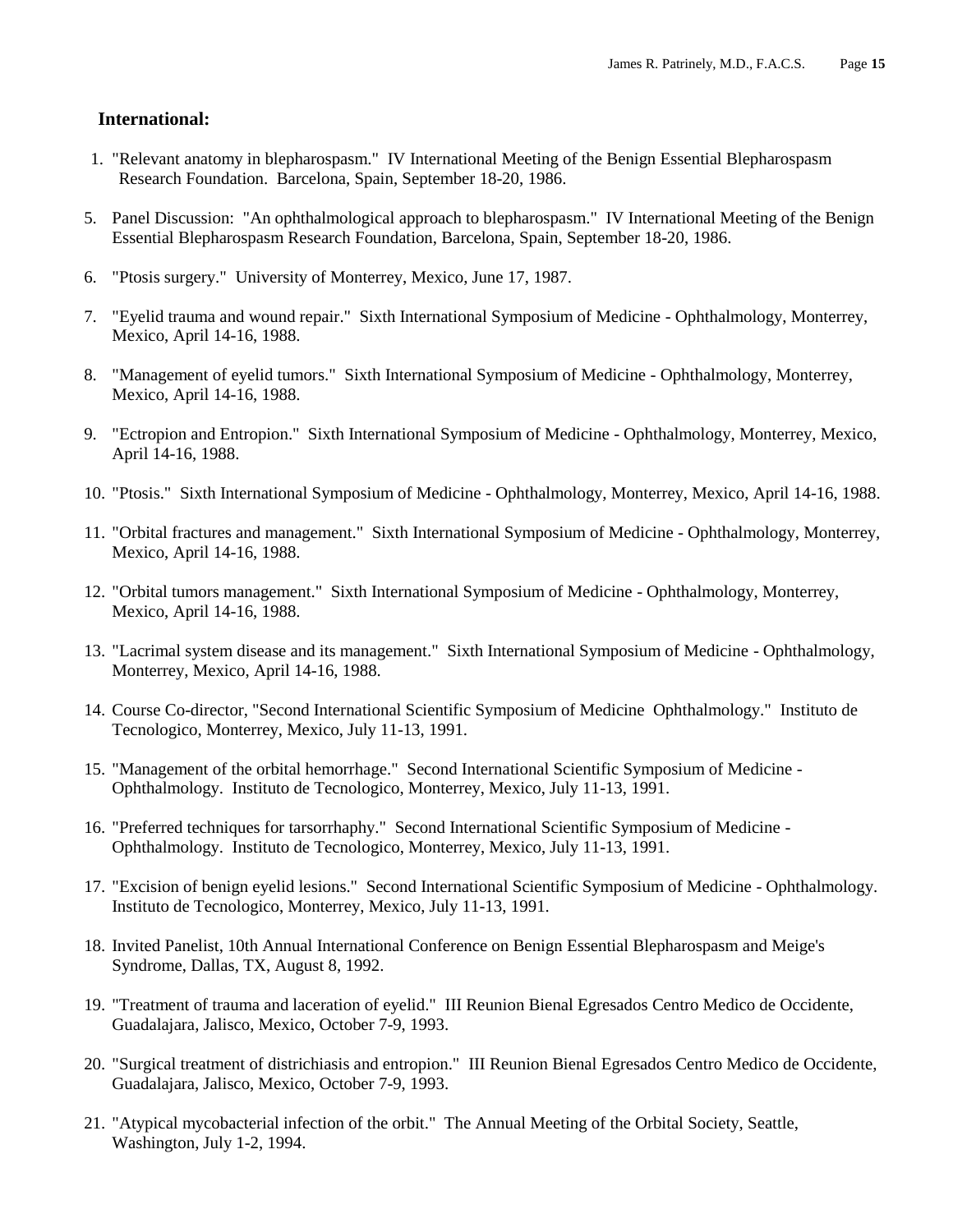#### **International:**

- 1. "Relevant anatomy in blepharospasm." IV International Meeting of the Benign Essential Blepharospasm Research Foundation. Barcelona, Spain, September 18-20, 1986.
- 5. Panel Discussion: "An ophthalmological approach to blepharospasm." IV International Meeting of the Benign Essential Blepharospasm Research Foundation, Barcelona, Spain, September 18-20, 1986.
- 6. "Ptosis surgery." University of Monterrey, Mexico, June 17, 1987.
- 7. "Eyelid trauma and wound repair." Sixth International Symposium of Medicine Ophthalmology, Monterrey, Mexico, April 14-16, 1988.
- 8. "Management of eyelid tumors." Sixth International Symposium of Medicine Ophthalmology, Monterrey, Mexico, April 14-16, 1988.
- 9. "Ectropion and Entropion." Sixth International Symposium of Medicine Ophthalmology, Monterrey, Mexico, April 14-16, 1988.
- 10. "Ptosis." Sixth International Symposium of Medicine Ophthalmology, Monterrey, Mexico, April 14-16, 1988.
- 11. "Orbital fractures and management." Sixth International Symposium of Medicine Ophthalmology, Monterrey, Mexico, April 14-16, 1988.
- 12. "Orbital tumors management." Sixth International Symposium of Medicine Ophthalmology, Monterrey, Mexico, April 14-16, 1988.
- 13. "Lacrimal system disease and its management." Sixth International Symposium of Medicine Ophthalmology, Monterrey, Mexico, April 14-16, 1988.
- 14. Course Co-director, "Second International Scientific Symposium of Medicine Ophthalmology." Instituto de Tecnologico, Monterrey, Mexico, July 11-13, 1991.
- 15. "Management of the orbital hemorrhage." Second International Scientific Symposium of Medicine Ophthalmology. Instituto de Tecnologico, Monterrey, Mexico, July 11-13, 1991.
- 16. "Preferred techniques for tarsorrhaphy." Second International Scientific Symposium of Medicine Ophthalmology. Instituto de Tecnologico, Monterrey, Mexico, July 11-13, 1991.
- 17. "Excision of benign eyelid lesions." Second International Scientific Symposium of Medicine Ophthalmology. Instituto de Tecnologico, Monterrey, Mexico, July 11-13, 1991.
- 18. Invited Panelist, 10th Annual International Conference on Benign Essential Blepharospasm and Meige's Syndrome, Dallas, TX, August 8, 1992.
- 19. "Treatment of trauma and laceration of eyelid." III Reunion Bienal Egresados Centro Medico de Occidente, Guadalajara, Jalisco, Mexico, October 7-9, 1993.
- 20. "Surgical treatment of districhiasis and entropion." III Reunion Bienal Egresados Centro Medico de Occidente, Guadalajara, Jalisco, Mexico, October 7-9, 1993.
- 21. "Atypical mycobacterial infection of the orbit." The Annual Meeting of the Orbital Society, Seattle, Washington, July 1-2, 1994.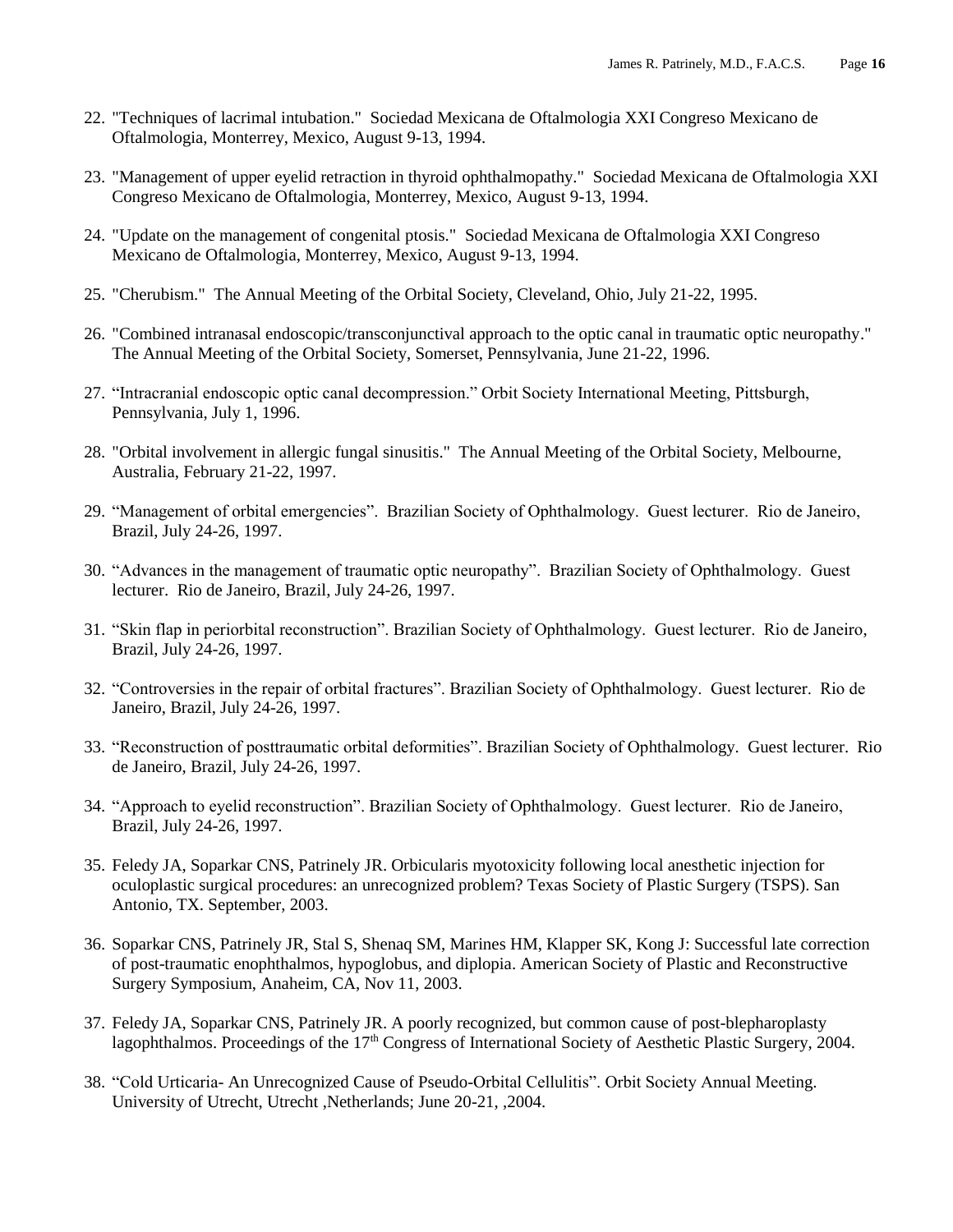- 22. "Techniques of lacrimal intubation." Sociedad Mexicana de Oftalmologia XXI Congreso Mexicano de Oftalmologia, Monterrey, Mexico, August 9-13, 1994.
- 23. "Management of upper eyelid retraction in thyroid ophthalmopathy." Sociedad Mexicana de Oftalmologia XXI Congreso Mexicano de Oftalmologia, Monterrey, Mexico, August 9-13, 1994.
- 24. "Update on the management of congenital ptosis." Sociedad Mexicana de Oftalmologia XXI Congreso Mexicano de Oftalmologia, Monterrey, Mexico, August 9-13, 1994.
- 25. "Cherubism." The Annual Meeting of the Orbital Society, Cleveland, Ohio, July 21-22, 1995.
- 26. "Combined intranasal endoscopic/transconjunctival approach to the optic canal in traumatic optic neuropathy." The Annual Meeting of the Orbital Society, Somerset, Pennsylvania, June 21-22, 1996.
- 27. "Intracranial endoscopic optic canal decompression." Orbit Society International Meeting, Pittsburgh, Pennsylvania, July 1, 1996.
- 28. "Orbital involvement in allergic fungal sinusitis." The Annual Meeting of the Orbital Society, Melbourne, Australia, February 21-22, 1997.
- 29. "Management of orbital emergencies". Brazilian Society of Ophthalmology. Guest lecturer. Rio de Janeiro, Brazil, July 24-26, 1997.
- 30. "Advances in the management of traumatic optic neuropathy". Brazilian Society of Ophthalmology. Guest lecturer. Rio de Janeiro, Brazil, July 24-26, 1997.
- 31. "Skin flap in periorbital reconstruction". Brazilian Society of Ophthalmology. Guest lecturer. Rio de Janeiro, Brazil, July 24-26, 1997.
- 32. "Controversies in the repair of orbital fractures". Brazilian Society of Ophthalmology. Guest lecturer. Rio de Janeiro, Brazil, July 24-26, 1997.
- 33. "Reconstruction of posttraumatic orbital deformities". Brazilian Society of Ophthalmology. Guest lecturer. Rio de Janeiro, Brazil, July 24-26, 1997.
- 34. "Approach to eyelid reconstruction". Brazilian Society of Ophthalmology. Guest lecturer. Rio de Janeiro, Brazil, July 24-26, 1997.
- 35. Feledy JA, Soparkar CNS, Patrinely JR. Orbicularis myotoxicity following local anesthetic injection for oculoplastic surgical procedures: an unrecognized problem? Texas Society of Plastic Surgery (TSPS). San Antonio, TX. September, 2003.
- 36. Soparkar CNS, Patrinely JR, Stal S, Shenaq SM, Marines HM, Klapper SK, Kong J: Successful late correction of post-traumatic enophthalmos, hypoglobus, and diplopia. American Society of Plastic and Reconstructive Surgery Symposium, Anaheim, CA, Nov 11, 2003.
- 37. Feledy JA, Soparkar CNS, Patrinely JR. A poorly recognized, but common cause of post-blepharoplasty lagophthalmos. Proceedings of the 17<sup>th</sup> Congress of International Society of Aesthetic Plastic Surgery, 2004.
- 38. "Cold Urticaria- An Unrecognized Cause of Pseudo-Orbital Cellulitis". Orbit Society Annual Meeting. University of Utrecht, Utrecht ,Netherlands; June 20-21, ,2004.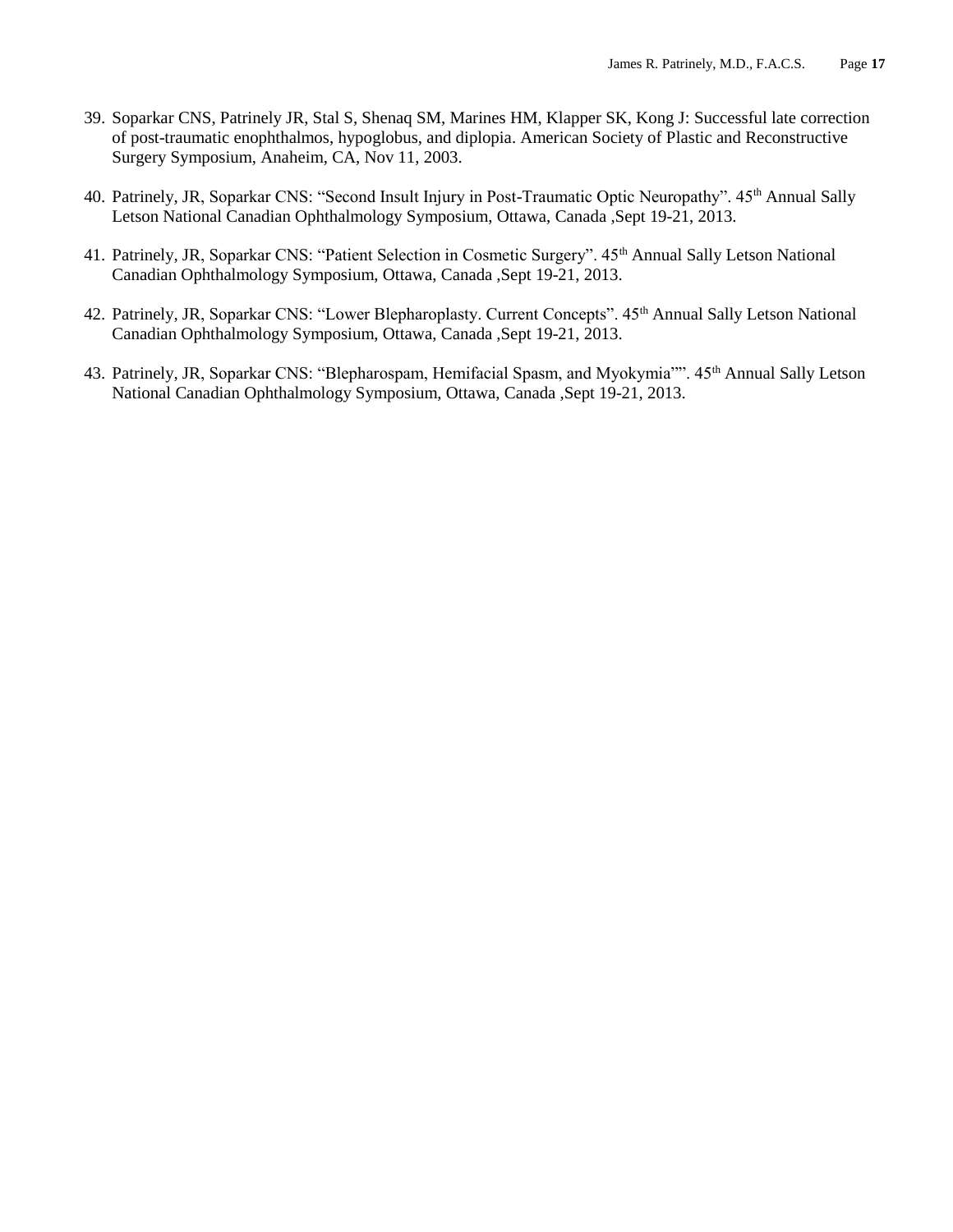- 39. Soparkar CNS, Patrinely JR, Stal S, Shenaq SM, Marines HM, Klapper SK, Kong J: Successful late correction of post-traumatic enophthalmos, hypoglobus, and diplopia. American Society of Plastic and Reconstructive Surgery Symposium, Anaheim, CA, Nov 11, 2003.
- 40. Patrinely, JR, Soparkar CNS: "Second Insult Injury in Post-Traumatic Optic Neuropathy". 45<sup>th</sup> Annual Sally Letson National Canadian Ophthalmology Symposium, Ottawa, Canada ,Sept 19-21, 2013.
- 41. Patrinely, JR, Soparkar CNS: "Patient Selection in Cosmetic Surgery". 45<sup>th</sup> Annual Sally Letson National Canadian Ophthalmology Symposium, Ottawa, Canada ,Sept 19-21, 2013.
- 42. Patrinely, JR, Soparkar CNS: "Lower Blepharoplasty. Current Concepts". 45<sup>th</sup> Annual Sally Letson National Canadian Ophthalmology Symposium, Ottawa, Canada ,Sept 19-21, 2013.
- 43. Patrinely, JR, Soparkar CNS: "Blepharospam, Hemifacial Spasm, and Myokymia"". 45<sup>th</sup> Annual Sally Letson National Canadian Ophthalmology Symposium, Ottawa, Canada ,Sept 19-21, 2013.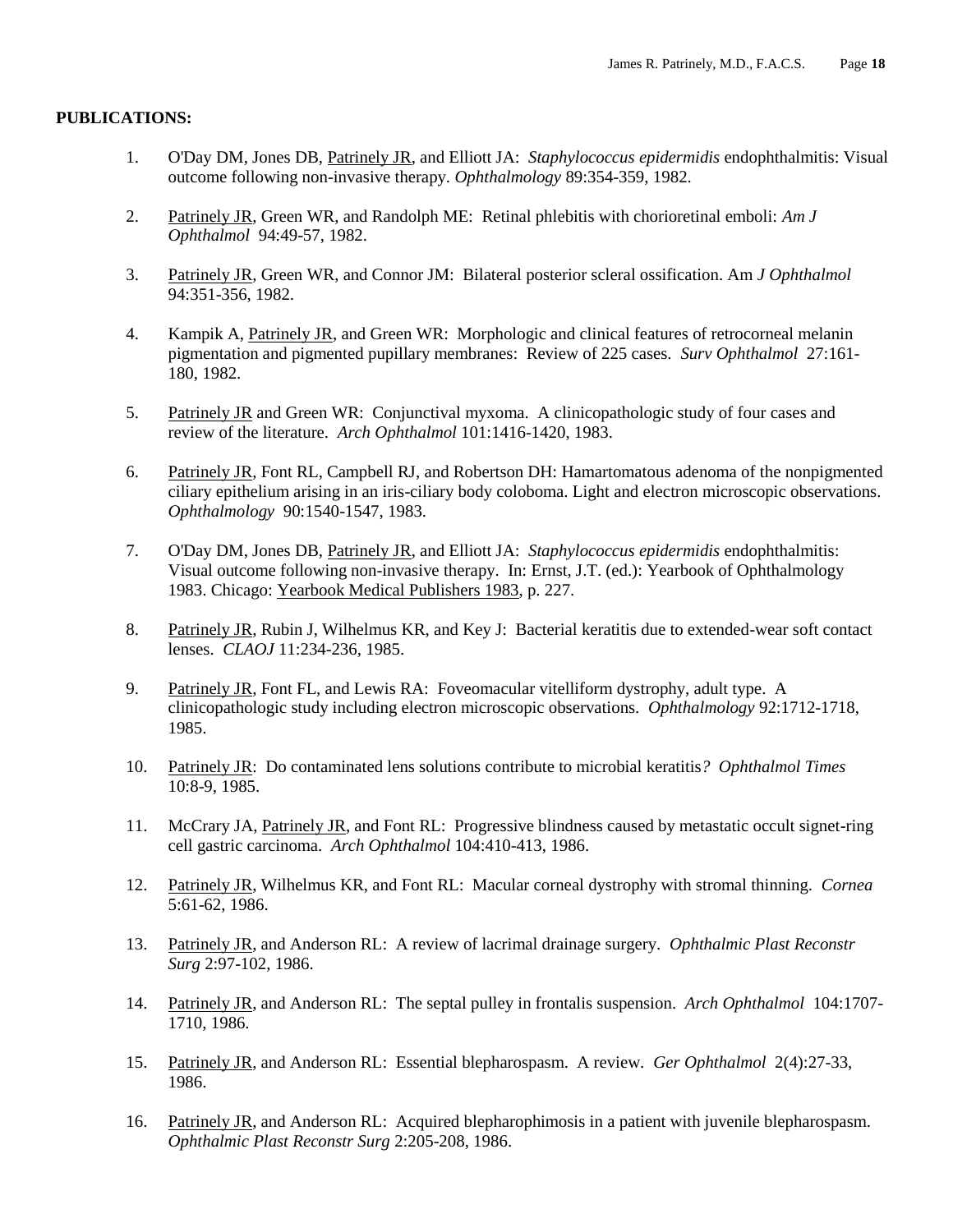#### **PUBLICATIONS:**

- 1. O'Day DM, Jones DB, Patrinely JR, and Elliott JA: *Staphylococcus epidermidis* endophthalmitis: Visual outcome following non-invasive therapy. *Ophthalmology* 89:354-359, 1982.
- 2. Patrinely JR, Green WR, and Randolph ME: Retinal phlebitis with chorioretinal emboli: *Am J Ophthalmol* 94:49-57, 1982.
- 3. Patrinely JR, Green WR, and Connor JM: Bilateral posterior scleral ossification. Am *J Ophthalmol* 94:351-356, 1982.
- 4. Kampik A, Patrinely JR, and Green WR: Morphologic and clinical features of retrocorneal melanin pigmentation and pigmented pupillary membranes: Review of 225 cases*. Surv Ophthalmol* 27:161- 180, 1982.
- 5. Patrinely JR and Green WR: Conjunctival myxoma. A clinicopathologic study of four cases and review of the literature. *Arch Ophthalmol* 101:1416-1420, 1983.
- 6. Patrinely JR, Font RL, Campbell RJ, and Robertson DH: Hamartomatous adenoma of the nonpigmented ciliary epithelium arising in an iris-ciliary body coloboma. Light and electron microscopic observations. *Ophthalmology* 90:1540-1547, 1983.
- 7. O'Day DM, Jones DB, Patrinely JR, and Elliott JA: *Staphylococcus epidermidis* endophthalmitis: Visual outcome following non-invasive therapy. In: Ernst, J.T. (ed.): Yearbook of Ophthalmology 1983. Chicago: Yearbook Medical Publishers 1983, p. 227.
- 8. Patrinely JR, Rubin J, Wilhelmus KR, and Key J: Bacterial keratitis due to extended-wear soft contact lenses. *CLAOJ* 11:234-236, 1985.
- 9. Patrinely JR, Font FL, and Lewis RA: Foveomacular vitelliform dystrophy, adult type. A clinicopathologic study including electron microscopic observations. *Ophthalmology* 92:1712-1718, 1985.
- 10. Patrinely JR: Do contaminated lens solutions contribute to microbial keratitis*? Ophthalmol Times*  10:8-9, 1985.
- 11. McCrary JA, Patrinely JR, and Font RL: Progressive blindness caused by metastatic occult signet-ring cell gastric carcinoma. *Arch Ophthalmol* 104:410-413, 1986.
- 12. Patrinely JR, Wilhelmus KR, and Font RL: Macular corneal dystrophy with stromal thinning. *Cornea* 5:61-62, 1986.
- 13. Patrinely JR, and Anderson RL: A review of lacrimal drainage surgery. *Ophthalmic Plast Reconstr Surg* 2:97-102, 1986.
- 14. Patrinely JR, and Anderson RL: The septal pulley in frontalis suspension. *Arch Ophthalmol* 104:1707- 1710, 1986.
- 15. Patrinely JR, and Anderson RL: Essential blepharospasm. A review*. Ger Ophthalmol* 2(4):27-33, 1986.
- 16. Patrinely JR, and Anderson RL: Acquired blepharophimosis in a patient with juvenile blepharospasm. *Ophthalmic Plast Reconstr Surg* 2:205-208, 1986.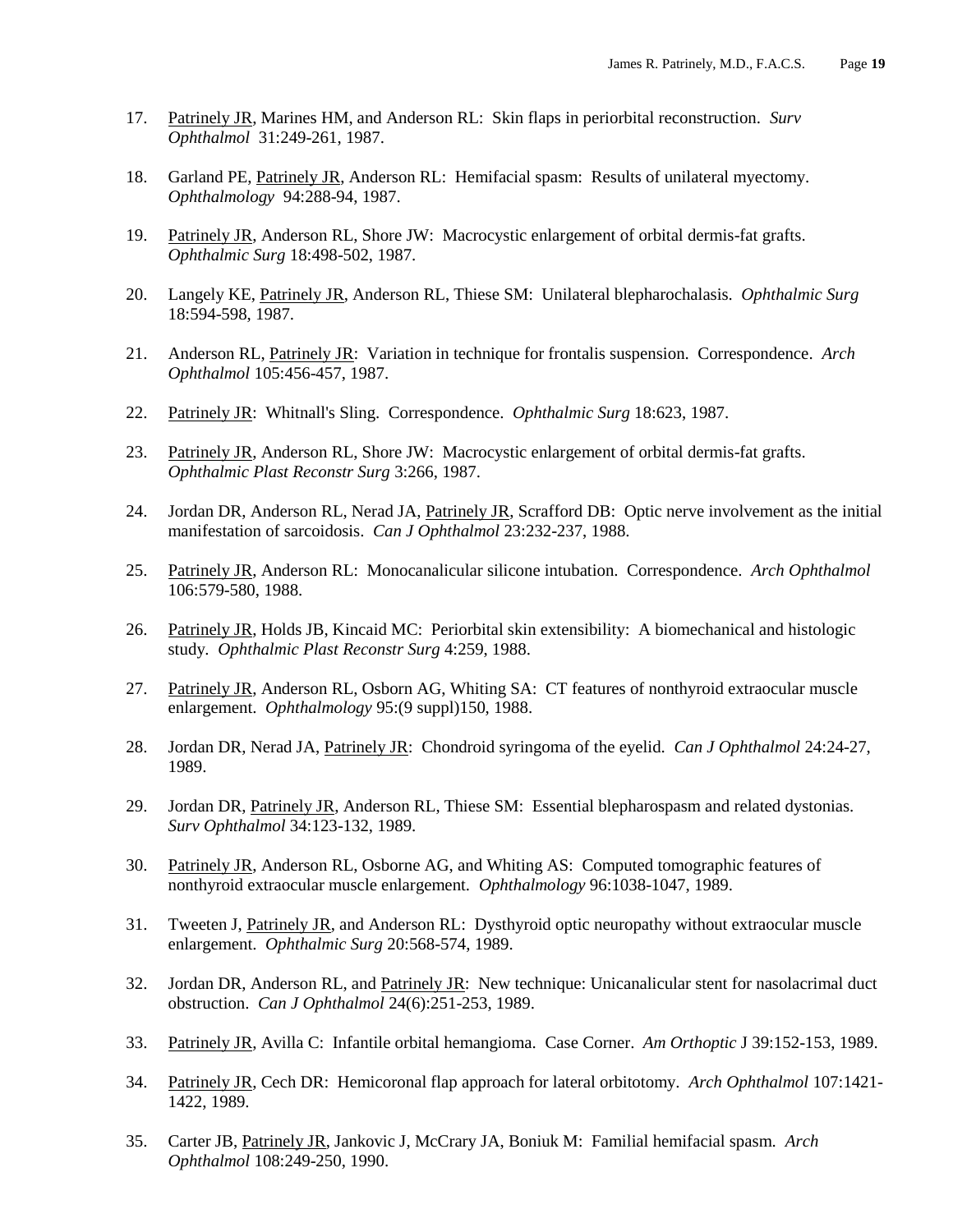- 17. Patrinely JR, Marines HM, and Anderson RL: Skin flaps in periorbital reconstruction*. Surv Ophthalmol* 31:249-261, 1987.
- 18. Garland PE, Patrinely JR, Anderson RL: Hemifacial spasm: Results of unilateral myectomy. *Ophthalmology* 94:288-94, 1987.
- 19. Patrinely JR, Anderson RL, Shore JW: Macrocystic enlargement of orbital dermis-fat grafts. *Ophthalmic Surg* 18:498-502, 1987.
- 20. Langely KE, Patrinely JR, Anderson RL, Thiese SM: Unilateral blepharochalasis*. Ophthalmic Surg* 18:594-598, 1987.
- 21. Anderson RL, Patrinely JR: Variation in technique for frontalis suspension. Correspondence. *Arch Ophthalmol* 105:456-457, 1987.
- 22. Patrinely JR: Whitnall's Sling. Correspondence. *Ophthalmic Surg* 18:623, 1987.
- 23. Patrinely JR, Anderson RL, Shore JW: Macrocystic enlargement of orbital dermis-fat grafts. *Ophthalmic Plast Reconstr Surg* 3:266, 1987.
- 24. Jordan DR, Anderson RL, Nerad JA, Patrinely JR, Scrafford DB: Optic nerve involvement as the initial manifestation of sarcoidosis. *Can J Ophthalmol* 23:232-237, 1988.
- 25. Patrinely JR, Anderson RL: Monocanalicular silicone intubation. Correspondence. *Arch Ophthalmol* 106:579-580, 1988.
- 26. Patrinely JR, Holds JB, Kincaid MC: Periorbital skin extensibility: A biomechanical and histologic study*. Ophthalmic Plast Reconstr Surg* 4:259, 1988.
- 27. Patrinely JR, Anderson RL, Osborn AG, Whiting SA: CT features of nonthyroid extraocular muscle enlargement. *Ophthalmology* 95:(9 suppl)150, 1988.
- 28. Jordan DR, Nerad JA, Patrinely JR: Chondroid syringoma of the eyelid. *Can J Ophthalmol* 24:24-27, 1989.
- 29. Jordan DR, Patrinely JR, Anderson RL, Thiese SM: Essential blepharospasm and related dystonias. *Surv Ophthalmol* 34:123-132, 1989.
- 30. Patrinely JR, Anderson RL, Osborne AG, and Whiting AS: Computed tomographic features of nonthyroid extraocular muscle enlargement*. Ophthalmology* 96:1038-1047, 1989.
- 31. Tweeten J, Patrinely JR, and Anderson RL: Dysthyroid optic neuropathy without extraocular muscle enlargement. *Ophthalmic Surg* 20:568-574, 1989.
- 32. Jordan DR, Anderson RL, and Patrinely JR: New technique: Unicanalicular stent for nasolacrimal duct obstruction. *Can J Ophthalmol* 24(6):251-253, 1989.
- 33. Patrinely JR, Avilla C: Infantile orbital hemangioma. Case Corner. *Am Orthoptic* J 39:152-153, 1989.
- 34. Patrinely JR, Cech DR: Hemicoronal flap approach for lateral orbitotomy. *Arch Ophthalmol* 107:1421- 1422, 1989.
- 35. Carter JB, Patrinely JR, Jankovic J, McCrary JA, Boniuk M: Familial hemifacial spasm*. Arch Ophthalmol* 108:249-250, 1990.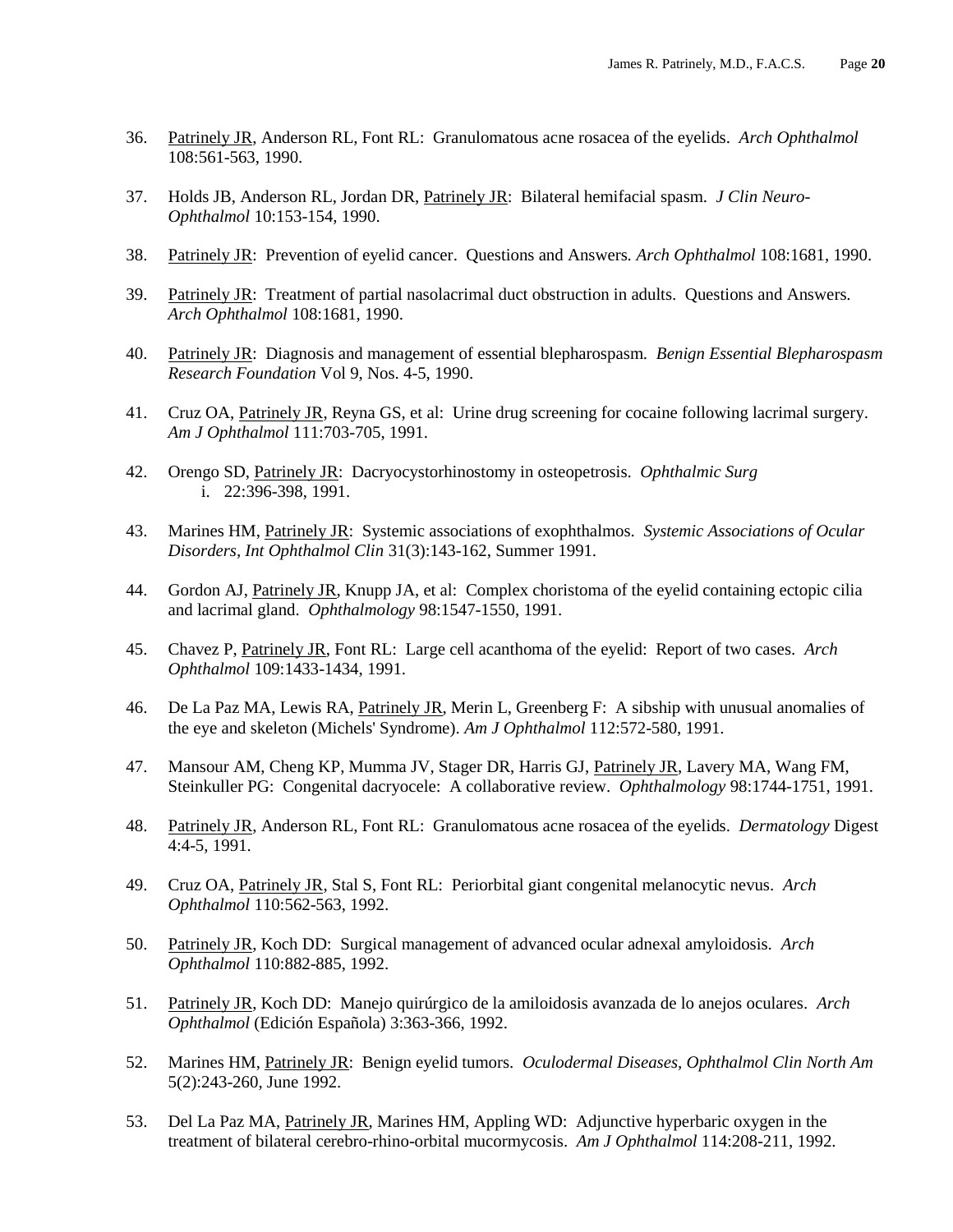- 36. Patrinely JR, Anderson RL, Font RL: Granulomatous acne rosacea of the eyelids*. Arch Ophthalmol*  108:561-563, 1990.
- 37. Holds JB, Anderson RL, Jordan DR, Patrinely JR: Bilateral hemifacial spasm. *J Clin Neuro-Ophthalmol* 10:153-154, 1990.
- 38. Patrinely JR: Prevention of eyelid cancer. Questions and Answers*. Arch Ophthalmol* 108:1681, 1990.
- 39. Patrinely JR: Treatment of partial nasolacrimal duct obstruction in adults. Questions and Answers. *Arch Ophthalmol* 108:1681, 1990.
- 40. Patrinely JR: Diagnosis and management of essential blepharospasm*. Benign Essential Blepharospasm Research Foundation* Vol 9, Nos. 4-5, 1990.
- 41. Cruz OA, Patrinely JR, Reyna GS, et al: Urine drug screening for cocaine following lacrimal surgery. *Am J Ophthalmol* 111:703-705, 1991.
- 42. Orengo SD, Patrinely JR: Dacryocystorhinostomy in osteopetrosis. *Ophthalmic Surg* i. 22:396-398, 1991.
- 43. Marines HM, Patrinely JR: Systemic associations of exophthalmos. *Systemic Associations of Ocular Disorders, Int Ophthalmol Clin* 31(3):143-162, Summer 1991.
- 44. Gordon AJ, Patrinely JR, Knupp JA, et al: Complex choristoma of the eyelid containing ectopic cilia and lacrimal gland. *Ophthalmology* 98:1547-1550, 1991.
- 45. Chavez P, Patrinely JR, Font RL: Large cell acanthoma of the eyelid: Report of two cases. *Arch Ophthalmol* 109:1433-1434, 1991.
- 46. De La Paz MA, Lewis RA, Patrinely JR, Merin L, Greenberg F: A sibship with unusual anomalies of the eye and skeleton (Michels' Syndrome). *Am J Ophthalmol* 112:572-580, 1991.
- 47. Mansour AM, Cheng KP, Mumma JV, Stager DR, Harris GJ, Patrinely JR, Lavery MA, Wang FM, Steinkuller PG: Congenital dacryocele: A collaborative review. *Ophthalmology* 98:1744-1751, 1991.
- 48. Patrinely JR, Anderson RL, Font RL: Granulomatous acne rosacea of the eyelids. *Dermatology* Digest 4:4-5, 1991.
- 49. Cruz OA, Patrinely JR, Stal S, Font RL: Periorbital giant congenital melanocytic nevus. *Arch Ophthalmol* 110:562-563, 1992.
- 50. Patrinely JR, Koch DD: Surgical management of advanced ocular adnexal amyloidosis. *Arch Ophthalmol* 110:882-885, 1992.
- 51. Patrinely JR, Koch DD: Manejo quirúrgico de la amiloidosis avanzada de lo anejos oculares. *Arch Ophthalmol* (Edición Española) 3:363-366, 1992.
- 52. Marines HM, Patrinely JR: Benign eyelid tumors. *Oculodermal Diseases, Ophthalmol Clin North Am* 5(2):243-260, June 1992.
- 53. Del La Paz MA, Patrinely JR, Marines HM, Appling WD: Adjunctive hyperbaric oxygen in the treatment of bilateral cerebro-rhino-orbital mucormycosis. *Am J Ophthalmol* 114:208-211, 1992.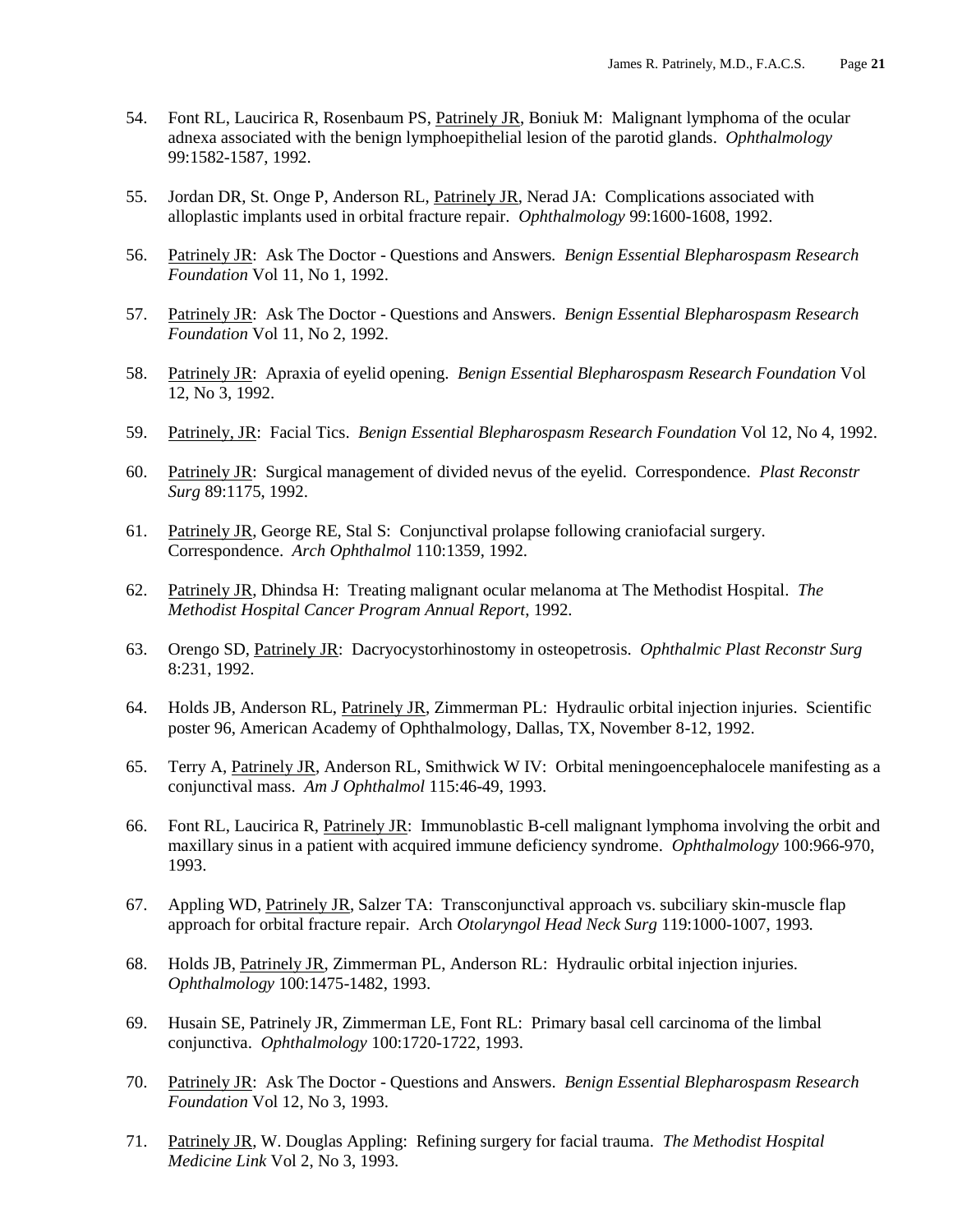- 54. Font RL, Laucirica R, Rosenbaum PS, Patrinely JR, Boniuk M: Malignant lymphoma of the ocular adnexa associated with the benign lymphoepithelial lesion of the parotid glands. *Ophthalmology* 99:1582-1587, 1992.
- 55. Jordan DR, St. Onge P, Anderson RL, Patrinely JR, Nerad JA: Complications associated with alloplastic implants used in orbital fracture repair. *Ophthalmology* 99:1600-1608, 1992.
- 56. Patrinely JR: Ask The Doctor Questions and Answers*. Benign Essential Blepharospasm Research Foundation* Vol 11, No 1, 1992.
- 57. Patrinely JR: Ask The Doctor Questions and Answers. *Benign Essential Blepharospasm Research Foundation* Vol 11, No 2, 1992.
- 58. Patrinely JR: Apraxia of eyelid opening. *Benign Essential Blepharospasm Research Foundation* Vol 12, No 3, 1992.
- 59. Patrinely, JR: Facial Tics. *Benign Essential Blepharospasm Research Foundation* Vol 12, No 4, 1992.
- 60. Patrinely JR: Surgical management of divided nevus of the eyelid. Correspondence. *Plast Reconstr Surg* 89:1175, 1992.
- 61. Patrinely JR, George RE, Stal S: Conjunctival prolapse following craniofacial surgery. Correspondence. *Arch Ophthalmol* 110:1359, 1992.
- 62. Patrinely JR, Dhindsa H: Treating malignant ocular melanoma at The Methodist Hospital. *The Methodist Hospital Cancer Program Annual Report*, 1992.
- 63. Orengo SD, Patrinely JR: Dacryocystorhinostomy in osteopetrosis. *Ophthalmic Plast Reconstr Surg* 8:231, 1992.
- 64. Holds JB, Anderson RL, Patrinely JR, Zimmerman PL: Hydraulic orbital injection injuries. Scientific poster 96, American Academy of Ophthalmology, Dallas, TX, November 8-12, 1992.
- 65. Terry A, Patrinely JR, Anderson RL, Smithwick W IV: Orbital meningoencephalocele manifesting as a conjunctival mass. *Am J Ophthalmol* 115:46-49, 1993.
- 66. Font RL, Laucirica R, Patrinely JR: Immunoblastic B-cell malignant lymphoma involving the orbit and maxillary sinus in a patient with acquired immune deficiency syndrome. *Ophthalmology* 100:966-970, 1993.
- 67. Appling WD, Patrinely JR, Salzer TA: Transconjunctival approach vs. subciliary skin-muscle flap approach for orbital fracture repair. Arch *Otolaryngol Head Neck Surg* 119:1000-1007, 1993.
- 68. Holds JB, Patrinely JR, Zimmerman PL, Anderson RL: Hydraulic orbital injection injuries. *Ophthalmology* 100:1475-1482, 1993.
- 69. Husain SE, Patrinely JR, Zimmerman LE, Font RL: Primary basal cell carcinoma of the limbal conjunctiva. *Ophthalmology* 100:1720-1722, 1993.
- 70. Patrinely JR: Ask The Doctor Questions and Answers. *Benign Essential Blepharospasm Research Foundation* Vol 12, No 3, 1993.
- 71. Patrinely JR, W. Douglas Appling: Refining surgery for facial trauma. *The Methodist Hospital Medicine Link* Vol 2, No 3, 1993.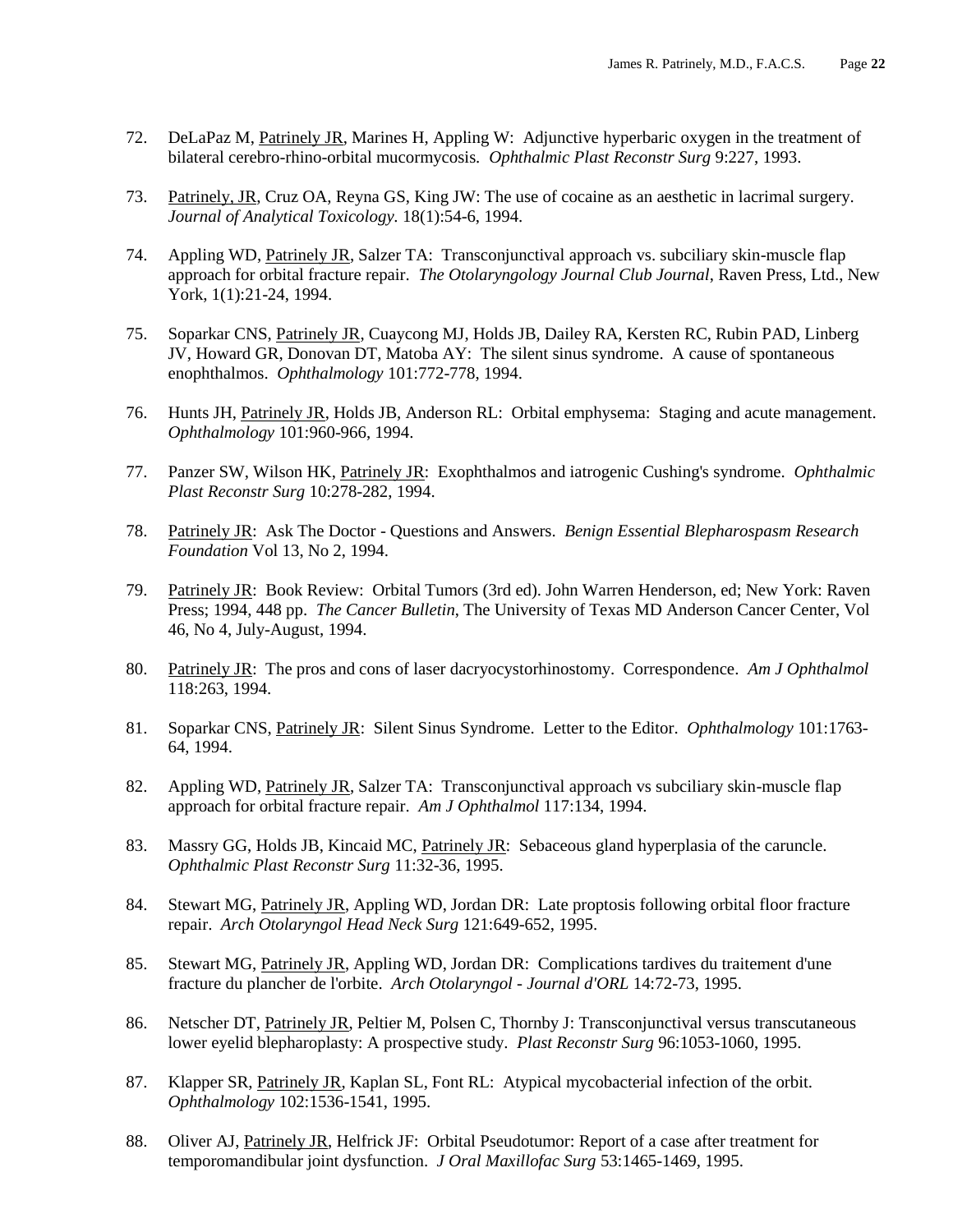- 72. DeLaPaz M, Patrinely JR, Marines H, Appling W: Adjunctive hyperbaric oxygen in the treatment of bilateral cerebro-rhino-orbital mucormycosis*. Ophthalmic Plast Reconstr Surg* 9:227, 1993.
- 73. Patrinely, JR, Cruz OA, Reyna GS, King JW: The use of cocaine as an aesthetic in lacrimal surgery. *Journal of Analytical Toxicology.* 18(1):54-6, 1994.
- 74. Appling WD, Patrinely JR, Salzer TA: Transconjunctival approach vs. subciliary skin-muscle flap approach for orbital fracture repair. *The Otolaryngology Journal Club Journal*, Raven Press, Ltd., New York, 1(1):21-24, 1994.
- 75. Soparkar CNS, Patrinely JR, Cuaycong MJ, Holds JB, Dailey RA, Kersten RC, Rubin PAD, Linberg JV, Howard GR, Donovan DT, Matoba AY: The silent sinus syndrome. A cause of spontaneous enophthalmos. *Ophthalmology* 101:772-778, 1994.
- 76. Hunts JH, Patrinely JR, Holds JB, Anderson RL: Orbital emphysema: Staging and acute management. *Ophthalmology* 101:960-966, 1994.
- 77. Panzer SW, Wilson HK, Patrinely JR: Exophthalmos and iatrogenic Cushing's syndrome. *Ophthalmic Plast Reconstr Surg* 10:278-282, 1994.
- 78. Patrinely JR: Ask The Doctor Questions and Answers. *Benign Essential Blepharospasm Research Foundation* Vol 13, No 2, 1994.
- 79. Patrinely JR: Book Review: Orbital Tumors (3rd ed). John Warren Henderson, ed; New York: Raven Press; 1994, 448 pp. *The Cancer Bulletin*, The University of Texas MD Anderson Cancer Center, Vol 46, No 4, July-August, 1994.
- 80. Patrinely JR: The pros and cons of laser dacryocystorhinostomy. Correspondence. *Am J Ophthalmol* 118:263, 1994.
- 81. Soparkar CNS, Patrinely JR: Silent Sinus Syndrome. Letter to the Editor. *Ophthalmology* 101:1763- 64, 1994.
- 82. Appling WD, Patrinely JR, Salzer TA: Transconjunctival approach vs subciliary skin-muscle flap approach for orbital fracture repair. *Am J Ophthalmol* 117:134, 1994.
- 83. Massry GG, Holds JB, Kincaid MC, Patrinely JR: Sebaceous gland hyperplasia of the caruncle. *Ophthalmic Plast Reconstr Surg* 11:32-36, 1995.
- 84. Stewart MG, Patrinely JR, Appling WD, Jordan DR: Late proptosis following orbital floor fracture repair. *Arch Otolaryngol Head Neck Surg* 121:649-652, 1995.
- 85. Stewart MG, Patrinely JR, Appling WD, Jordan DR: Complications tardives du traitement d'une fracture du plancher de l'orbite. *Arch Otolaryngol - Journal d'ORL* 14:72-73, 1995.
- 86. Netscher DT, Patrinely JR, Peltier M, Polsen C, Thornby J: Transconjunctival versus transcutaneous lower eyelid blepharoplasty: A prospective study. *Plast Reconstr Surg* 96:1053-1060, 1995.
- 87. Klapper SR, Patrinely JR, Kaplan SL, Font RL: Atypical mycobacterial infection of the orbit. *Ophthalmology* 102:1536-1541, 1995.
- 88. Oliver AJ, Patrinely JR, Helfrick JF: Orbital Pseudotumor: Report of a case after treatment for temporomandibular joint dysfunction. *J Oral Maxillofac Surg* 53:1465-1469, 1995.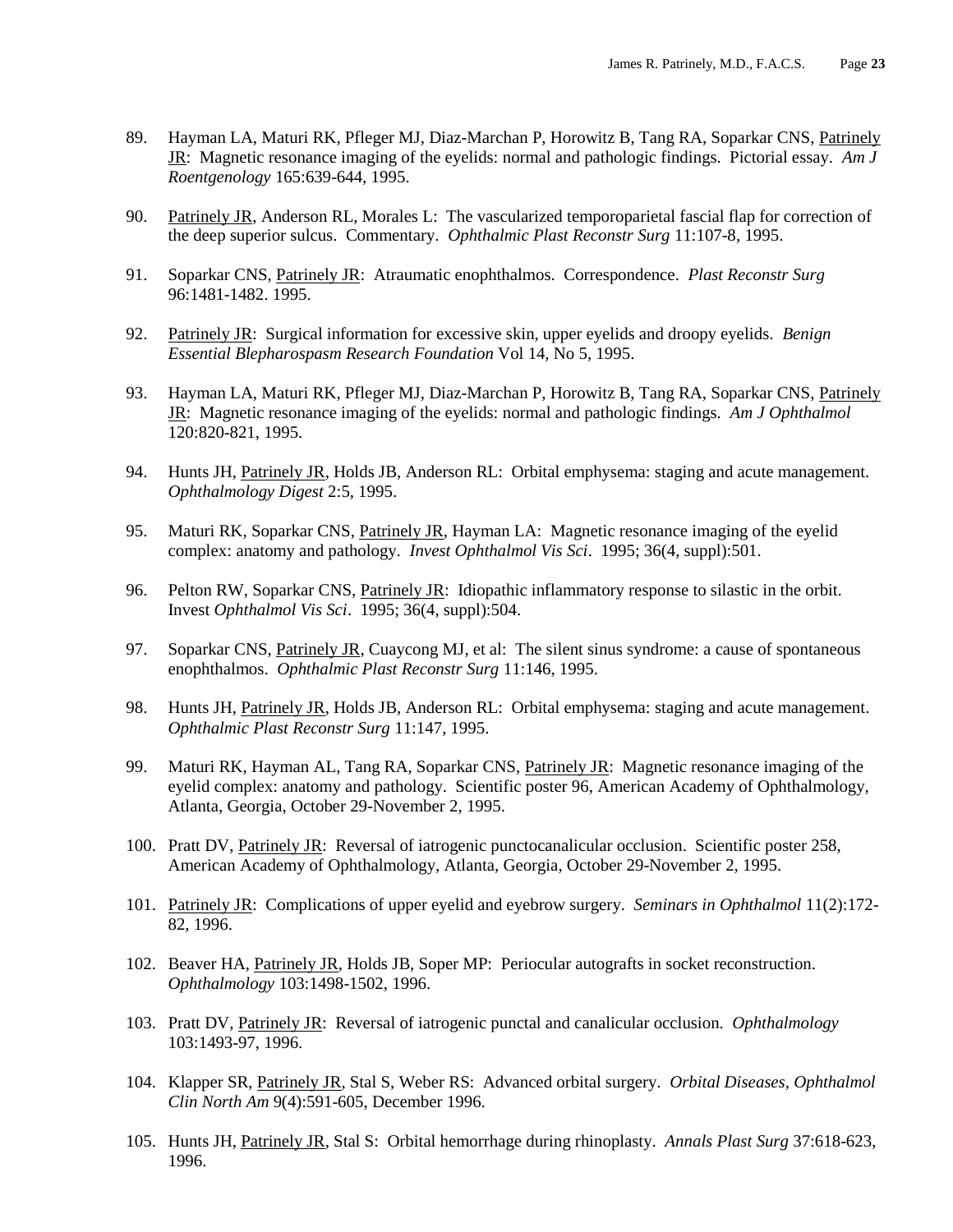- 89. Hayman LA, Maturi RK, Pfleger MJ, Diaz-Marchan P, Horowitz B, Tang RA, Soparkar CNS, Patrinely JR: Magnetic resonance imaging of the eyelids: normal and pathologic findings. Pictorial essay. *Am J Roentgenology* 165:639-644, 1995.
- 90. Patrinely JR, Anderson RL, Morales L: The vascularized temporoparietal fascial flap for correction of the deep superior sulcus. Commentary. *Ophthalmic Plast Reconstr Surg* 11:107-8, 1995.
- 91. Soparkar CNS, Patrinely JR: Atraumatic enophthalmos. Correspondence. *Plast Reconstr Surg* 96:1481-1482. 1995.
- 92. Patrinely JR: Surgical information for excessive skin, upper eyelids and droopy eyelids. *Benign Essential Blepharospasm Research Foundation* Vol 14, No 5, 1995.
- 93. Hayman LA, Maturi RK, Pfleger MJ, Diaz-Marchan P, Horowitz B, Tang RA, Soparkar CNS, Patrinely JR: Magnetic resonance imaging of the eyelids: normal and pathologic findings. *Am J Ophthalmol* 120:820-821, 1995.
- 94. Hunts JH, Patrinely JR, Holds JB, Anderson RL: Orbital emphysema: staging and acute management. *Ophthalmology Digest* 2:5, 1995.
- 95. Maturi RK, Soparkar CNS, Patrinely JR, Hayman LA: Magnetic resonance imaging of the eyelid complex: anatomy and pathology. *Invest Ophthalmol Vis Sci*. 1995; 36(4, suppl):501.
- 96. Pelton RW, Soparkar CNS, Patrinely JR: Idiopathic inflammatory response to silastic in the orbit. Invest *Ophthalmol Vis Sci*. 1995; 36(4, suppl):504.
- 97. Soparkar CNS, Patrinely JR, Cuaycong MJ, et al: The silent sinus syndrome: a cause of spontaneous enophthalmos. *Ophthalmic Plast Reconstr Surg* 11:146, 1995.
- 98. Hunts JH, Patrinely JR, Holds JB, Anderson RL: Orbital emphysema: staging and acute management. *Ophthalmic Plast Reconstr Surg* 11:147, 1995.
- 99. Maturi RK, Hayman AL, Tang RA, Soparkar CNS, Patrinely JR: Magnetic resonance imaging of the eyelid complex: anatomy and pathology. Scientific poster 96, American Academy of Ophthalmology, Atlanta, Georgia, October 29-November 2, 1995.
- 100. Pratt DV, Patrinely JR: Reversal of iatrogenic punctocanalicular occlusion. Scientific poster 258, American Academy of Ophthalmology, Atlanta, Georgia, October 29-November 2, 1995.
- 101. Patrinely JR: Complications of upper eyelid and eyebrow surgery. *Seminars in Ophthalmol* 11(2):172- 82, 1996.
- 102. Beaver HA, Patrinely JR, Holds JB, Soper MP: Periocular autografts in socket reconstruction. *Ophthalmology* 103:1498-1502, 1996.
- 103. Pratt DV, Patrinely JR: Reversal of iatrogenic punctal and canalicular occlusion. *Ophthalmology* 103:1493-97, 1996.
- 104. Klapper SR, Patrinely JR, Stal S, Weber RS: Advanced orbital surgery. *Orbital Diseases, Ophthalmol Clin North Am* 9(4):591-605, December 1996.
- 105. Hunts JH, Patrinely JR, Stal S: Orbital hemorrhage during rhinoplasty. *Annals Plast Surg* 37:618-623, 1996.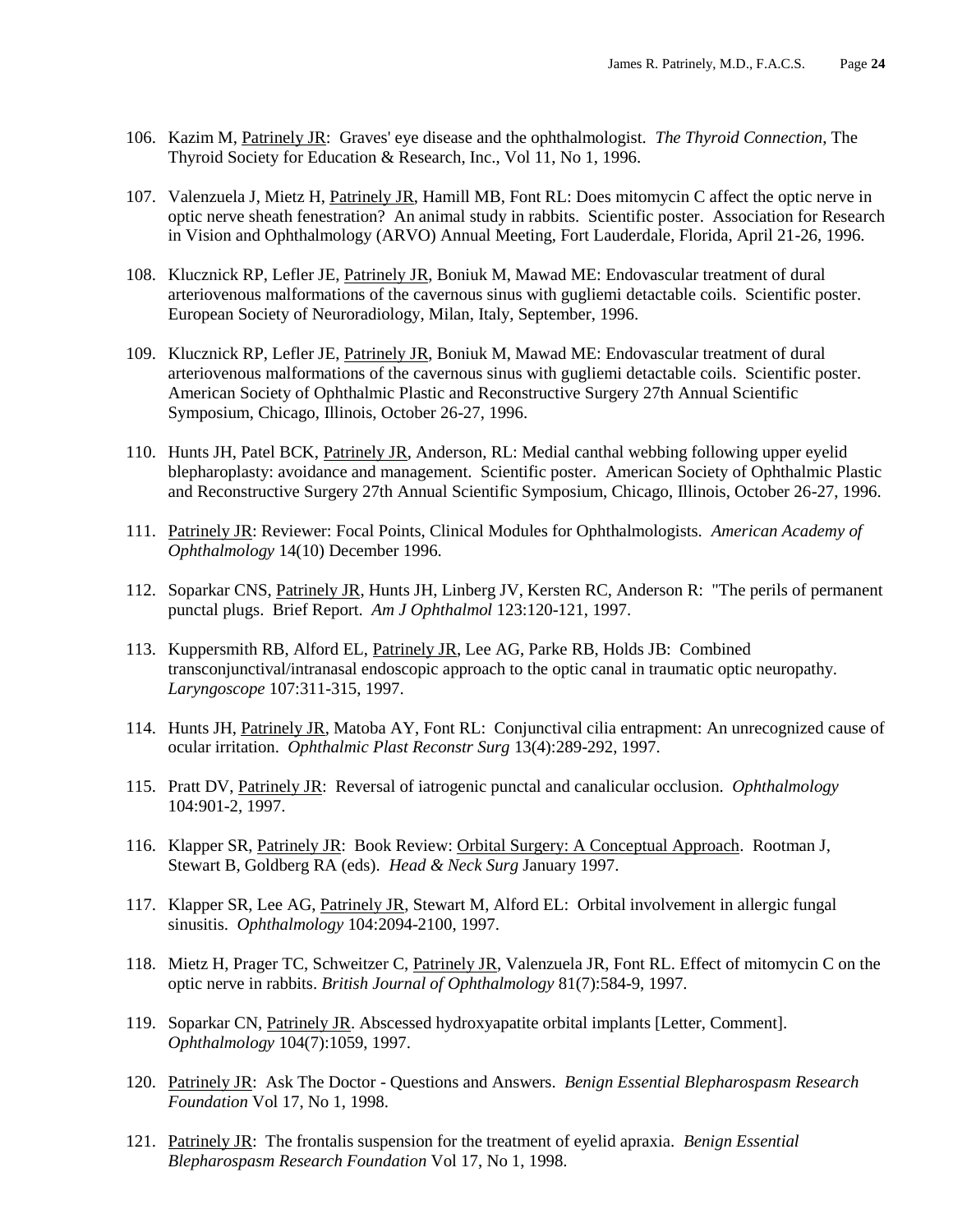- 106. Kazim M, Patrinely JR: Graves' eye disease and the ophthalmologist. *The Thyroid Connection*, The Thyroid Society for Education & Research, Inc., Vol 11, No 1, 1996.
- 107. Valenzuela J, Mietz H, Patrinely JR, Hamill MB, Font RL: Does mitomycin C affect the optic nerve in optic nerve sheath fenestration? An animal study in rabbits. Scientific poster. Association for Research in Vision and Ophthalmology (ARVO) Annual Meeting, Fort Lauderdale, Florida, April 21-26, 1996.
- 108. Klucznick RP, Lefler JE, Patrinely JR, Boniuk M, Mawad ME: Endovascular treatment of dural arteriovenous malformations of the cavernous sinus with gugliemi detactable coils. Scientific poster. European Society of Neuroradiology, Milan, Italy, September, 1996.
- 109. Klucznick RP, Lefler JE, Patrinely JR, Boniuk M, Mawad ME: Endovascular treatment of dural arteriovenous malformations of the cavernous sinus with gugliemi detactable coils. Scientific poster. American Society of Ophthalmic Plastic and Reconstructive Surgery 27th Annual Scientific Symposium, Chicago, Illinois, October 26-27, 1996.
- 110. Hunts JH, Patel BCK, Patrinely JR, Anderson, RL: Medial canthal webbing following upper eyelid blepharoplasty: avoidance and management. Scientific poster. American Society of Ophthalmic Plastic and Reconstructive Surgery 27th Annual Scientific Symposium, Chicago, Illinois, October 26-27, 1996.
- 111. Patrinely JR: Reviewer: Focal Points, Clinical Modules for Ophthalmologists*. American Academy of Ophthalmology* 14(10) December 1996.
- 112. Soparkar CNS, Patrinely JR, Hunts JH, Linberg JV, Kersten RC, Anderson R: "The perils of permanent punctal plugs. Brief Report. *Am J Ophthalmol* 123:120-121, 1997.
- 113. Kuppersmith RB, Alford EL, Patrinely JR, Lee AG, Parke RB, Holds JB: Combined transconjunctival/intranasal endoscopic approach to the optic canal in traumatic optic neuropathy. *Laryngoscope* 107:311-315, 1997.
- 114. Hunts JH, Patrinely JR, Matoba AY, Font RL: Conjunctival cilia entrapment: An unrecognized cause of ocular irritation. *Ophthalmic Plast Reconstr Surg* 13(4):289-292, 1997.
- 115. Pratt DV, Patrinely JR: Reversal of iatrogenic punctal and canalicular occlusion. *Ophthalmology* 104:901-2, 1997.
- 116. Klapper SR, Patrinely JR: Book Review: Orbital Surgery: A Conceptual Approach. Rootman J, Stewart B, Goldberg RA (eds). *Head & Neck Surg* January 1997.
- 117. Klapper SR, Lee AG, Patrinely JR, Stewart M, Alford EL: Orbital involvement in allergic fungal sinusitis. *Ophthalmology* 104:2094-2100, 1997.
- 118. Mietz H, Prager TC, Schweitzer C, Patrinely JR, Valenzuela JR, Font RL. Effect of mitomycin C on the optic nerve in rabbits. *British Journal of Ophthalmology* 81(7):584-9, 1997.
- 119. Soparkar CN, Patrinely JR. Abscessed hydroxyapatite orbital implants [Letter, Comment]. *Ophthalmology* 104(7):1059, 1997.
- 120. Patrinely JR: Ask The Doctor Questions and Answers. *Benign Essential Blepharospasm Research Foundation* Vol 17, No 1, 1998.
- 121. Patrinely JR: The frontalis suspension for the treatment of eyelid apraxia. *Benign Essential Blepharospasm Research Foundation* Vol 17, No 1, 1998.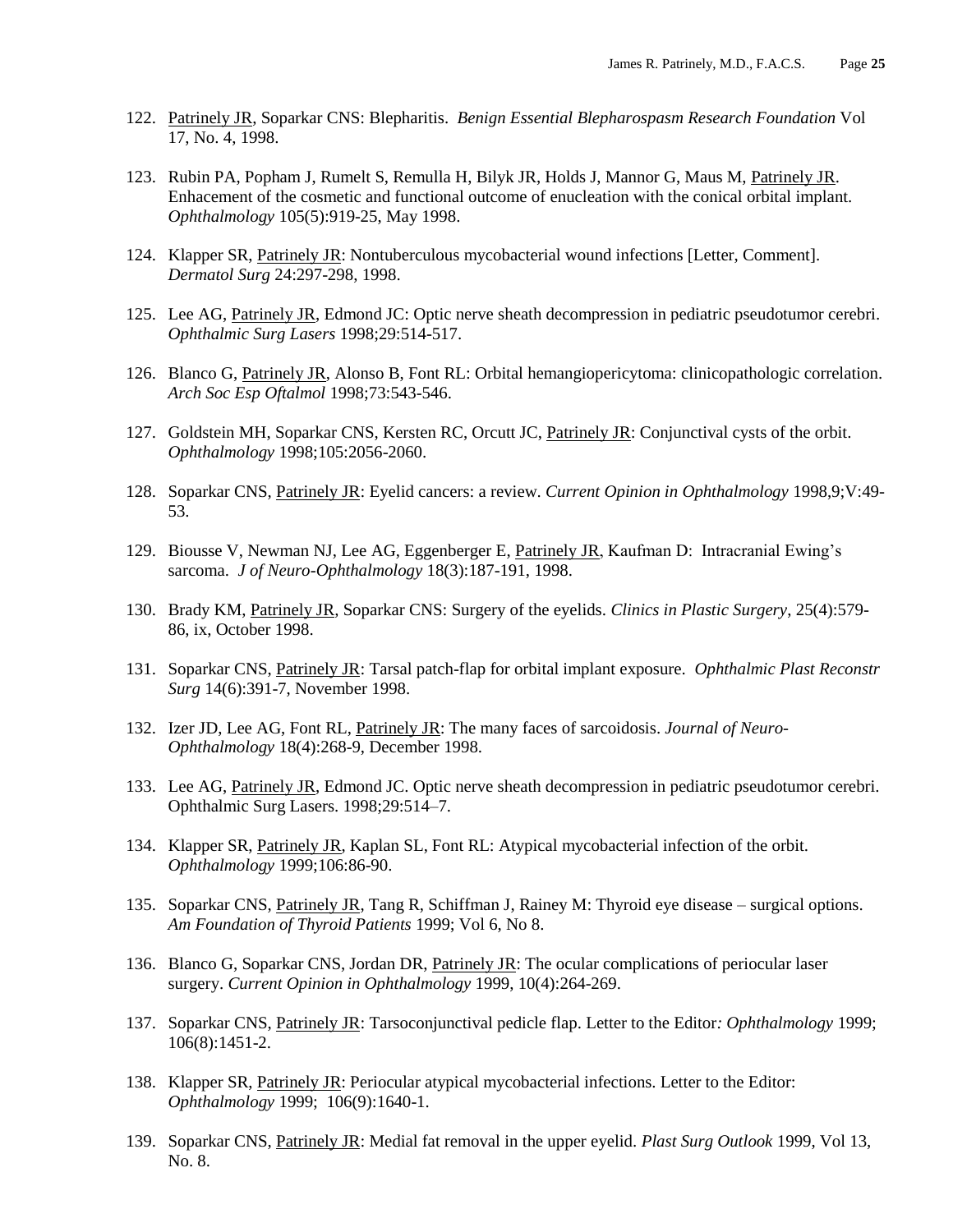- 122. Patrinely JR, Soparkar CNS: Blepharitis. *Benign Essential Blepharospasm Research Foundation* Vol 17, No. 4, 1998.
- 123. Rubin PA, Popham J, Rumelt S, Remulla H, Bilyk JR, Holds J, Mannor G, Maus M, Patrinely JR. Enhacement of the cosmetic and functional outcome of enucleation with the conical orbital implant. *Ophthalmology* 105(5):919-25, May 1998.
- 124. Klapper SR, Patrinely JR: Nontuberculous mycobacterial wound infections [Letter, Comment]. *Dermatol Surg* 24:297-298, 1998.
- 125. Lee AG, Patrinely JR, Edmond JC: Optic nerve sheath decompression in pediatric pseudotumor cerebri. *Ophthalmic Surg Lasers* 1998;29:514-517.
- 126. Blanco G, Patrinely JR, Alonso B, Font RL: Orbital hemangiopericytoma: clinicopathologic correlation. *Arch Soc Esp Oftalmol* 1998;73:543-546.
- 127. Goldstein MH, Soparkar CNS, Kersten RC, Orcutt JC, Patrinely JR: Conjunctival cysts of the orbit. *Ophthalmology* 1998;105:2056-2060.
- 128. Soparkar CNS, Patrinely JR: Eyelid cancers: a review. *Current Opinion in Ophthalmology* 1998,9;V:49- 53.
- 129. Biousse V, Newman NJ, Lee AG, Eggenberger E, Patrinely JR, Kaufman D: Intracranial Ewing's sarcoma. *J of Neuro-Ophthalmology* 18(3):187-191, 1998.
- 130. Brady KM, Patrinely JR*,* Soparkar CNS: Surgery of the eyelids. *Clinics in Plastic Surgery*, 25(4):579- 86, ix, October 1998.
- 131. Soparkar CNS, Patrinely JR: Tarsal patch-flap for orbital implant exposure. *Ophthalmic Plast Reconstr Surg* 14(6):391-7, November 1998.
- 132. Izer JD, Lee AG, Font RL, Patrinely JR: The many faces of sarcoidosis. *Journal of Neuro-Ophthalmology* 18(4):268-9, December 1998.
- 133. Lee AG, Patrinely JR, Edmond JC. Optic nerve sheath decompression in pediatric pseudotumor cerebri. Ophthalmic Surg Lasers. 1998;29:514–7.
- 134. Klapper SR, Patrinely JR, Kaplan SL, Font RL: Atypical mycobacterial infection of the orbit. *Ophthalmology* 1999;106:86-90.
- 135. Soparkar CNS, Patrinely JR, Tang R, Schiffman J, Rainey M: Thyroid eye disease surgical options. *Am Foundation of Thyroid Patients* 1999; Vol 6, No 8.
- 136. Blanco G, Soparkar CNS, Jordan DR, Patrinely JR: The ocular complications of periocular laser surgery. *Current Opinion in Ophthalmology* 1999, 10(4):264-269.
- 137. Soparkar CNS, Patrinely JR: Tarsoconjunctival pedicle flap. Letter to the Editor*: Ophthalmology* 1999; 106(8):1451-2.
- 138. Klapper SR, Patrinely JR: Periocular atypical mycobacterial infections. Letter to the Editor: *Ophthalmology* 1999; 106(9):1640-1.
- 139. Soparkar CNS, Patrinely JR: Medial fat removal in the upper eyelid. *Plast Surg Outlook* 1999, Vol 13, No. 8.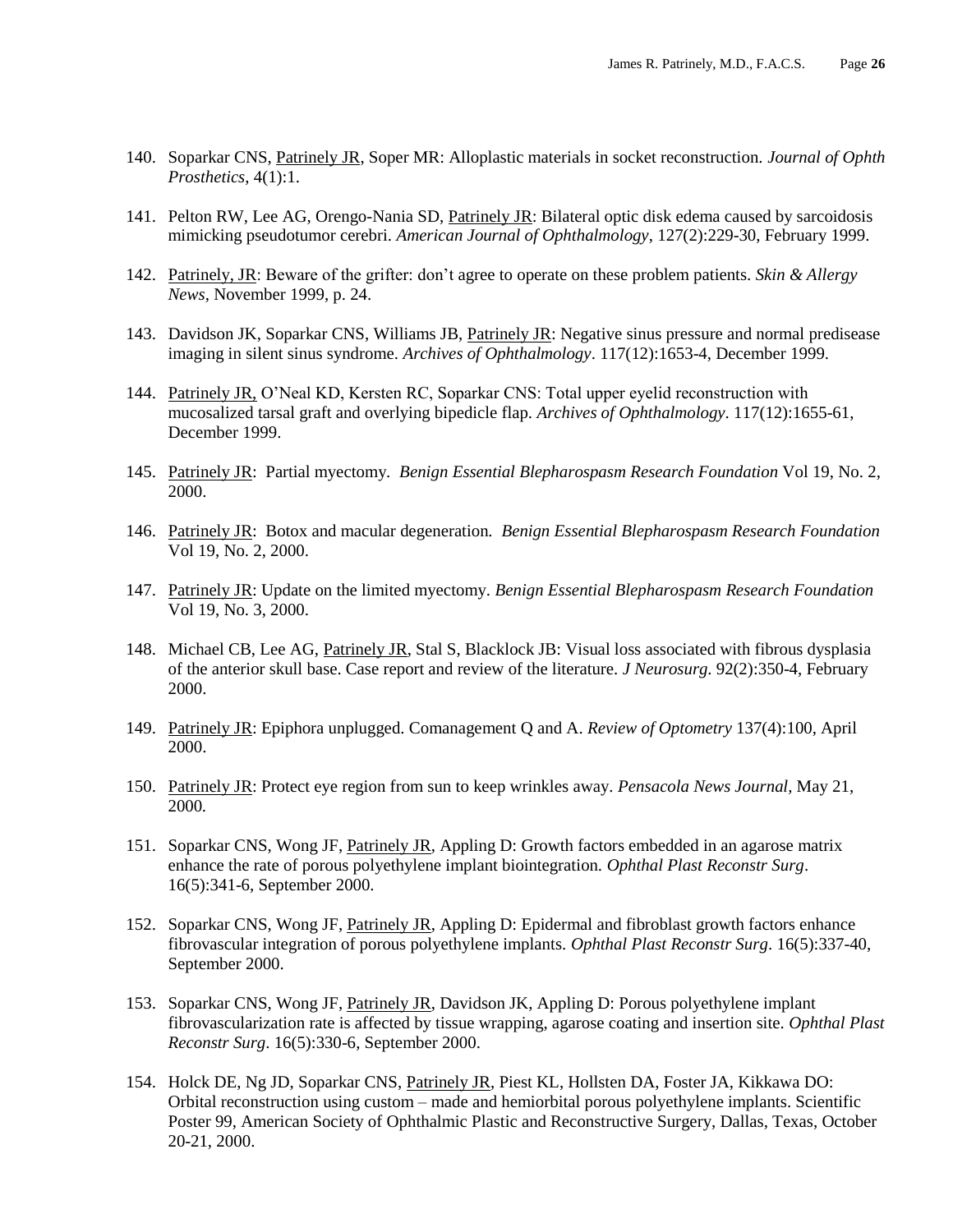- 140. Soparkar CNS, Patrinely JR, Soper MR: Alloplastic materials in socket reconstruction. *Journal of Ophth Prosthetics*, 4(1):1.
- 141. Pelton RW, Lee AG, Orengo-Nania SD, Patrinely JR: Bilateral optic disk edema caused by sarcoidosis mimicking pseudotumor cerebri. *American Journal of Ophthalmology*, 127(2):229-30, February 1999.
- 142. Patrinely, JR: Beware of the grifter: don't agree to operate on these problem patients. *Skin & Allergy News*, November 1999, p. 24.
- 143. Davidson JK, Soparkar CNS, Williams JB, Patrinely JR: Negative sinus pressure and normal predisease imaging in silent sinus syndrome. *Archives of Ophthalmology*. 117(12):1653-4, December 1999.
- 144. Patrinely JR, O'Neal KD, Kersten RC, Soparkar CNS: Total upper eyelid reconstruction with mucosalized tarsal graft and overlying bipedicle flap. *Archives of Ophthalmology*. 117(12):1655-61, December 1999.
- 145. Patrinely JR: Partial myectomy*. Benign Essential Blepharospasm Research Foundation* Vol 19, No. 2, 2000.
- 146. Patrinely JR: Botox and macular degeneration*. Benign Essential Blepharospasm Research Foundation* Vol 19, No. 2, 2000.
- 147. Patrinely JR: Update on the limited myectomy. *Benign Essential Blepharospasm Research Foundation* Vol 19, No. 3, 2000.
- 148. Michael CB, Lee AG, Patrinely JR, Stal S, Blacklock JB: Visual loss associated with fibrous dysplasia of the anterior skull base. Case report and review of the literature. *J Neurosurg*. 92(2):350-4, February 2000.
- 149. Patrinely JR: Epiphora unplugged. Comanagement Q and A. *Review of Optometry* 137(4):100, April 2000.
- 150. Patrinely JR: Protect eye region from sun to keep wrinkles away. *Pensacola News Journal,* May 21, 2000*.*
- 151. Soparkar CNS, Wong JF, Patrinely JR, Appling D: Growth factors embedded in an agarose matrix enhance the rate of porous polyethylene implant biointegration. *Ophthal Plast Reconstr Surg*. 16(5):341-6, September 2000.
- 152. Soparkar CNS, Wong JF, Patrinely JR, Appling D: Epidermal and fibroblast growth factors enhance fibrovascular integration of porous polyethylene implants. *Ophthal Plast Reconstr Surg*. 16(5):337-40, September 2000.
- 153. Soparkar CNS, Wong JF, Patrinely JR, Davidson JK, Appling D: Porous polyethylene implant fibrovascularization rate is affected by tissue wrapping, agarose coating and insertion site. *Ophthal Plast Reconstr Surg*. 16(5):330-6, September 2000.
- 154. Holck DE, Ng JD, Soparkar CNS, Patrinely JR, Piest KL, Hollsten DA, Foster JA, Kikkawa DO: Orbital reconstruction using custom – made and hemiorbital porous polyethylene implants. Scientific Poster 99, American Society of Ophthalmic Plastic and Reconstructive Surgery, Dallas, Texas, October 20-21, 2000.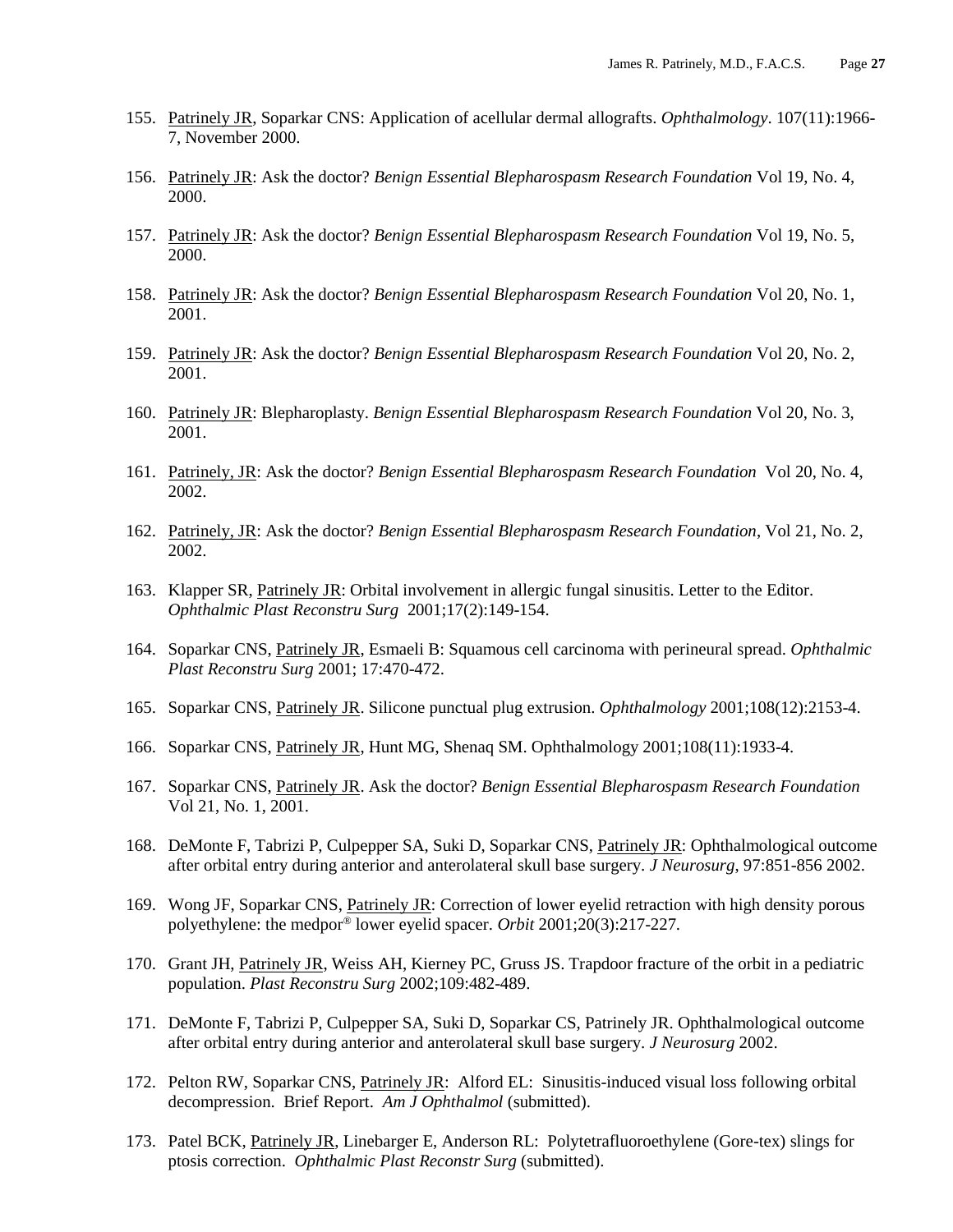- 155. Patrinely JR, Soparkar CNS: Application of acellular dermal allografts. *Ophthalmology*. 107(11):1966- 7, November 2000.
- 156. Patrinely JR: Ask the doctor? *Benign Essential Blepharospasm Research Foundation* Vol 19, No. 4, 2000.
- 157. Patrinely JR: Ask the doctor? *Benign Essential Blepharospasm Research Foundation* Vol 19, No. 5, 2000.
- 158. Patrinely JR: Ask the doctor? *Benign Essential Blepharospasm Research Foundation* Vol 20, No. 1, 2001.
- 159. Patrinely JR: Ask the doctor? *Benign Essential Blepharospasm Research Foundation* Vol 20, No. 2, 2001.
- 160. Patrinely JR: Blepharoplasty. *Benign Essential Blepharospasm Research Foundation* Vol 20, No. 3, 2001.
- 161. Patrinely, JR: Ask the doctor? *Benign Essential Blepharospasm Research Foundation* Vol 20, No. 4, 2002.
- 162. Patrinely, JR: Ask the doctor? *Benign Essential Blepharospasm Research Foundation*, Vol 21, No. 2, 2002.
- 163. Klapper SR, Patrinely JR: Orbital involvement in allergic fungal sinusitis. Letter to the Editor. *Ophthalmic Plast Reconstru Surg* 2001;17(2):149-154.
- 164. Soparkar CNS, Patrinely JR, Esmaeli B: Squamous cell carcinoma with perineural spread. *Ophthalmic Plast Reconstru Surg* 2001; 17:470-472.
- 165. Soparkar CNS, Patrinely JR. Silicone punctual plug extrusion. *Ophthalmology* 2001;108(12):2153-4.
- 166. Soparkar CNS, Patrinely JR, Hunt MG, Shenaq SM. Ophthalmology 2001;108(11):1933-4.
- 167. Soparkar CNS, Patrinely JR. Ask the doctor? *Benign Essential Blepharospasm Research Foundation* Vol 21, No. 1, 2001.
- 168. DeMonte F, Tabrizi P, Culpepper SA, Suki D, Soparkar CNS, Patrinely JR: Ophthalmological outcome after orbital entry during anterior and anterolateral skull base surgery. *J Neurosurg*, 97:851-856 2002.
- 169. Wong JF, Soparkar CNS, Patrinely JR: Correction of lower eyelid retraction with high density porous polyethylene: the medpor® lower eyelid spacer. *Orbit* 2001;20(3):217-227*.*
- 170. Grant JH, Patrinely JR, Weiss AH, Kierney PC, Gruss JS. Trapdoor fracture of the orbit in a pediatric population. *Plast Reconstru Surg* 2002;109:482-489.
- 171. DeMonte F, Tabrizi P, Culpepper SA, Suki D, Soparkar CS, Patrinely JR. Ophthalmological outcome after orbital entry during anterior and anterolateral skull base surgery. *J Neurosurg* 2002.
- 172. Pelton RW, Soparkar CNS, Patrinely JR: Alford EL: Sinusitis-induced visual loss following orbital decompression. Brief Report. *Am J Ophthalmol* (submitted).
- 173. Patel BCK, Patrinely JR, Linebarger E, Anderson RL: Polytetrafluoroethylene (Gore-tex) slings for ptosis correction. *Ophthalmic Plast Reconstr Surg* (submitted).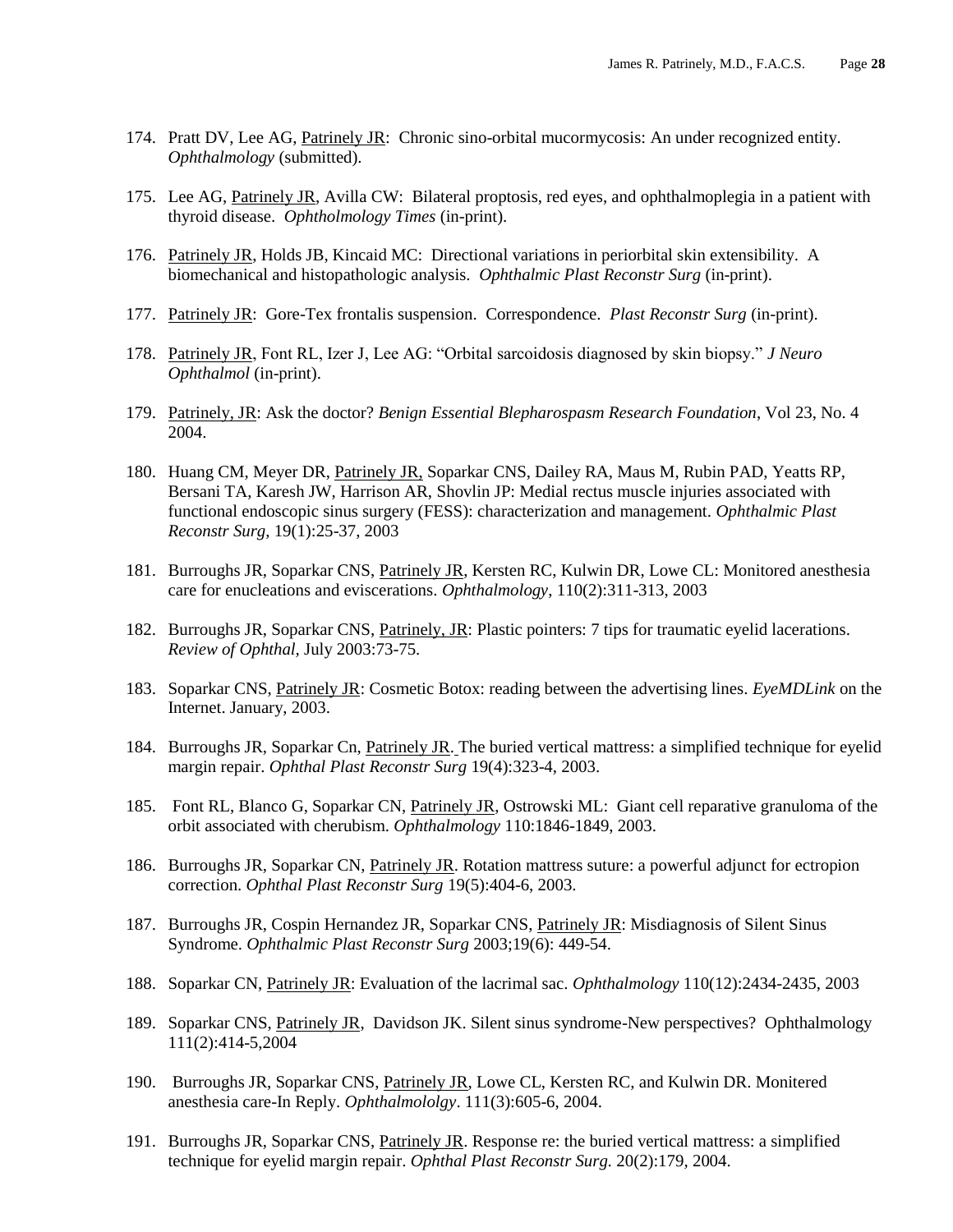- 174. Pratt DV, Lee AG, Patrinely JR: Chronic sino-orbital mucormycosis: An under recognized entity. *Ophthalmology* (submitted).
- 175. Lee AG, Patrinely JR, Avilla CW: Bilateral proptosis, red eyes, and ophthalmoplegia in a patient with thyroid disease. *Ophtholmology Times* (in-print).
- 176. Patrinely JR, Holds JB, Kincaid MC: Directional variations in periorbital skin extensibility. A biomechanical and histopathologic analysis. *Ophthalmic Plast Reconstr Surg* (in-print).
- 177. Patrinely JR: Gore-Tex frontalis suspension. Correspondence. *Plast Reconstr Surg* (in-print).
- 178. Patrinely JR, Font RL, Izer J, Lee AG: "Orbital sarcoidosis diagnosed by skin biopsy." *J Neuro Ophthalmol* (in-print).
- 179. Patrinely, JR: Ask the doctor? *Benign Essential Blepharospasm Research Foundation*, Vol 23, No. 4 2004.
- 180. Huang CM, Meyer DR, Patrinely JR, Soparkar CNS, Dailey RA, Maus M, Rubin PAD, Yeatts RP, Bersani TA, Karesh JW, Harrison AR, Shovlin JP: Medial rectus muscle injuries associated with functional endoscopic sinus surgery (FESS): characterization and management. *Ophthalmic Plast Reconstr Surg*, 19(1):25-37, 2003
- 181. Burroughs JR, Soparkar CNS, Patrinely JR, Kersten RC, Kulwin DR, Lowe CL: Monitored anesthesia care for enucleations and eviscerations. *Ophthalmology*, 110(2):311-313, 2003
- 182. Burroughs JR, Soparkar CNS, Patrinely, JR: Plastic pointers: 7 tips for traumatic eyelid lacerations. *Review of Ophthal,* July 2003:73-75.
- 183. Soparkar CNS, Patrinely JR: Cosmetic Botox: reading between the advertising lines. *EyeMDLink* on the Internet. January, 2003.
- 184. Burroughs JR, Soparkar Cn, Patrinely JR. The buried vertical mattress: a simplified technique for eyelid margin repair. *Ophthal Plast Reconstr Surg* 19(4):323-4, 2003.
- 185. Font RL, Blanco G, Soparkar CN, Patrinely JR, Ostrowski ML: Giant cell reparative granuloma of the orbit associated with cherubism. *Ophthalmology* 110:1846-1849, 2003.
- 186. Burroughs JR, Soparkar CN, Patrinely JR. Rotation mattress suture: a powerful adjunct for ectropion correction. *Ophthal Plast Reconstr Surg* 19(5):404-6, 2003.
- 187. Burroughs JR, Cospin Hernandez JR, Soparkar CNS, Patrinely JR: Misdiagnosis of Silent Sinus Syndrome. *Ophthalmic Plast Reconstr Surg* 2003;19(6): 449-54.
- 188. Soparkar CN, Patrinely JR: Evaluation of the lacrimal sac. *Ophthalmology* 110(12):2434-2435, 2003
- 189. Soparkar CNS, Patrinely JR, Davidson JK. Silent sinus syndrome-New perspectives? Ophthalmology 111(2):414-5,2004
- 190. Burroughs JR, Soparkar CNS, Patrinely JR, Lowe CL, Kersten RC, and Kulwin DR. Monitered anesthesia care-In Reply. *Ophthalmololgy*. 111(3):605-6, 2004.
- 191. Burroughs JR, Soparkar CNS, Patrinely JR. Response re: the buried vertical mattress: a simplified technique for eyelid margin repair. *Ophthal Plast Reconstr Surg.* 20(2):179, 2004.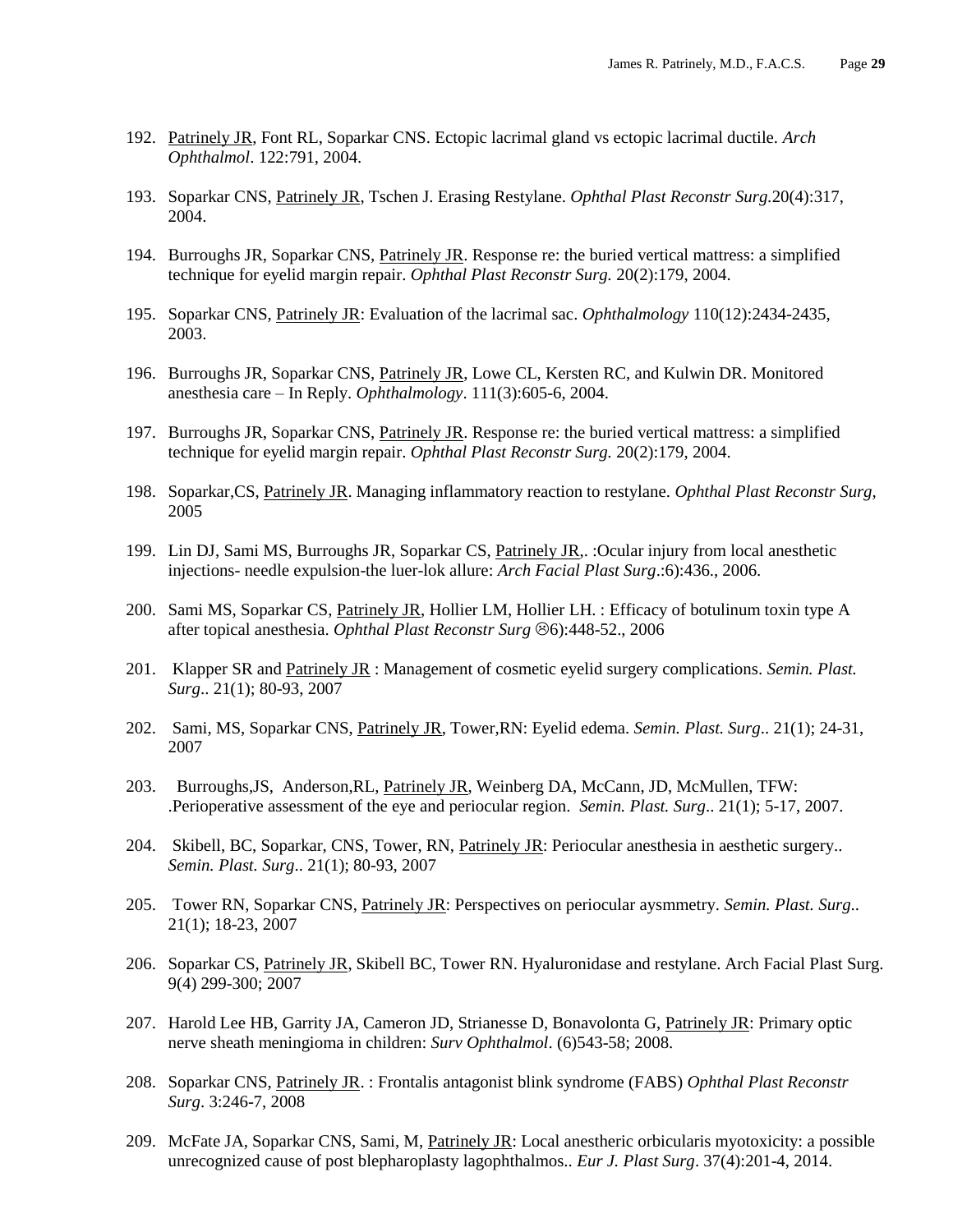- 192. Patrinely JR, Font RL, Soparkar CNS. Ectopic lacrimal gland vs ectopic lacrimal ductile. *Arch Ophthalmol*. 122:791, 2004.
- 193. Soparkar CNS, Patrinely JR, Tschen J. Erasing Restylane. *Ophthal Plast Reconstr Surg.*20(4):317, 2004.
- 194. Burroughs JR, Soparkar CNS, Patrinely JR. Response re: the buried vertical mattress: a simplified technique for eyelid margin repair. *Ophthal Plast Reconstr Surg.* 20(2):179, 2004.
- 195. Soparkar CNS, Patrinely JR: Evaluation of the lacrimal sac. *Ophthalmology* 110(12):2434-2435, 2003.
- 196. Burroughs JR, Soparkar CNS, Patrinely JR, Lowe CL, Kersten RC, and Kulwin DR. Monitored anesthesia care – In Reply. *Ophthalmology*. 111(3):605-6, 2004.
- 197. Burroughs JR, Soparkar CNS, Patrinely JR. Response re: the buried vertical mattress: a simplified technique for eyelid margin repair. *Ophthal Plast Reconstr Surg.* 20(2):179, 2004.
- 198. Soparkar,CS, Patrinely JR. Managing inflammatory reaction to restylane. *Ophthal Plast Reconstr Surg,* 2005
- 199. Lin DJ, Sami MS, Burroughs JR, Soparkar CS, Patrinely JR,. : Ocular injury from local anesthetic injections- needle expulsion-the luer-lok allure: *Arch Facial Plast Surg*.:6):436., 2006.
- 200. Sami MS, Soparkar CS, Patrinely JR, Hollier LM, Hollier LH. : Efficacy of botulinum toxin type A after topical anesthesia. *Ophthal Plast Reconstr Surg*  $\odot$ 6):448-52., 2006
- 201. Klapper SR and Patrinely JR : Management of cosmetic eyelid surgery complications. *Semin. Plast. Surg*.. 21(1); 80-93, 2007
- 202. Sami, MS, Soparkar CNS, Patrinely JR, Tower,RN: Eyelid edema. *Semin. Plast. Surg*.. 21(1); 24-31, 2007
- 203. Burroughs,JS, Anderson,RL, Patrinely JR, Weinberg DA, McCann, JD, McMullen, TFW: .Perioperative assessment of the eye and periocular region. *Semin. Plast. Surg*.. 21(1); 5-17, 2007.
- 204. Skibell, BC, Soparkar, CNS, Tower, RN, Patrinely JR: Periocular anesthesia in aesthetic surgery.. *Semin. Plast. Surg*.. 21(1); 80-93, 2007
- 205. Tower RN, Soparkar CNS, Patrinely JR: Perspectives on periocular aysmmetry. *Semin. Plast. Surg*.. 21(1); 18-23, 2007
- 206. Soparkar CS, Patrinely JR, Skibell BC, Tower RN. Hyaluronidase and restylane. Arch Facial Plast Surg. 9(4) 299-300; 2007
- 207. Harold Lee HB, Garrity JA, Cameron JD, Strianesse D, Bonavolonta G, Patrinely JR: Primary optic nerve sheath meningioma in children: *Surv Ophthalmol*. (6)543-58; 2008.
- 208. Soparkar CNS, Patrinely JR. : Frontalis antagonist blink syndrome (FABS) *Ophthal Plast Reconstr Surg*. 3:246-7, 2008
- 209. McFate JA, Soparkar CNS, Sami, M, Patrinely JR: Local anestheric orbicularis myotoxicity: a possible unrecognized cause of post blepharoplasty lagophthalmos.. *Eur J. Plast Surg*. 37(4):201-4, 2014.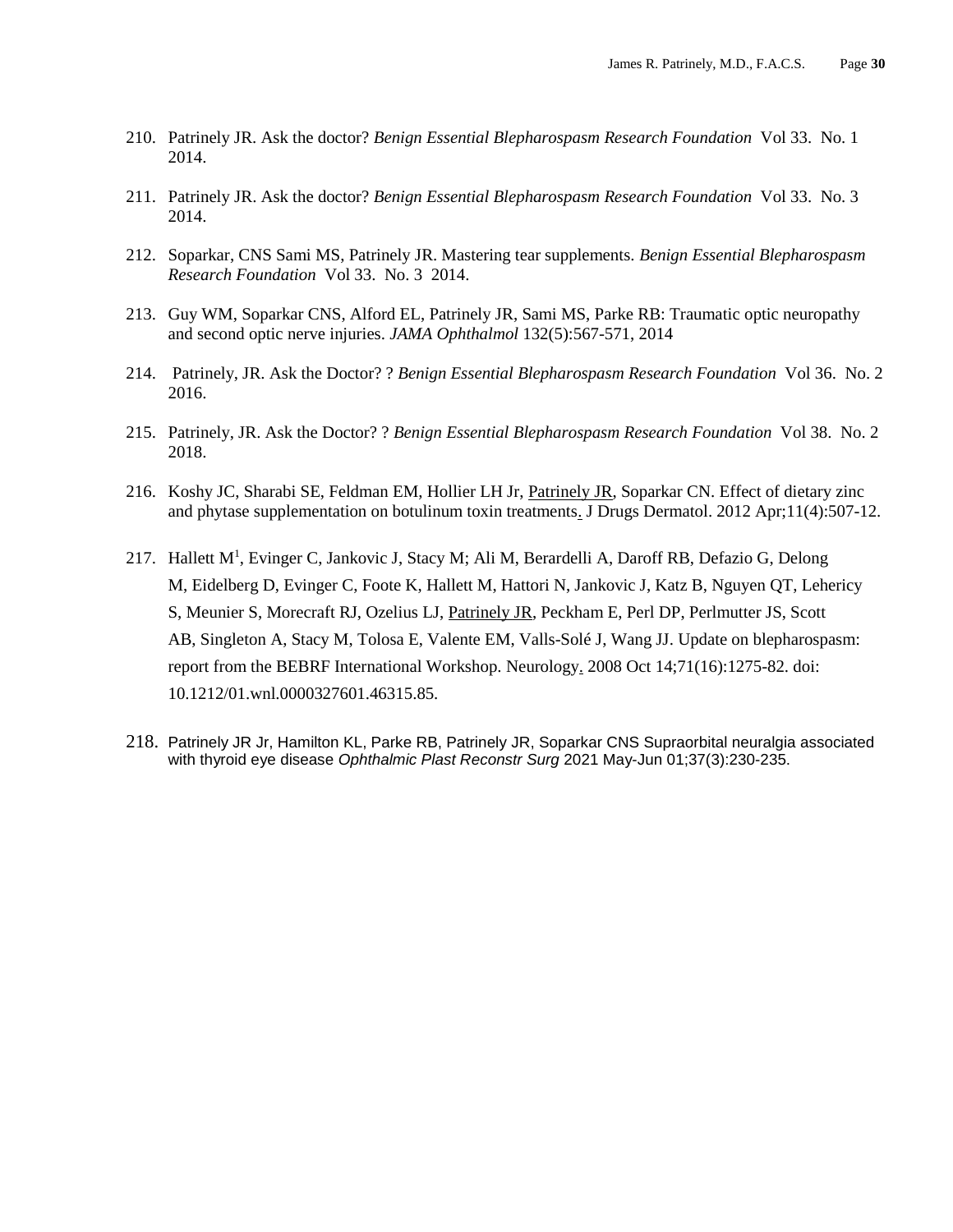- 210. Patrinely JR. Ask the doctor? *Benign Essential Blepharospasm Research Foundation* Vol 33. No. 1 2014.
- 211. Patrinely JR. Ask the doctor? *Benign Essential Blepharospasm Research Foundation* Vol 33. No. 3 2014.
- 212. Soparkar, CNS Sami MS, Patrinely JR. Mastering tear supplements. *Benign Essential Blepharospasm Research Foundation* Vol 33. No. 3 2014.
- 213. Guy WM, Soparkar CNS, Alford EL, Patrinely JR, Sami MS, Parke RB: Traumatic optic neuropathy and second optic nerve injuries. *JAMA Ophthalmol* 132(5):567-571, 2014
- 214. Patrinely, JR. Ask the Doctor? ? *Benign Essential Blepharospasm Research Foundation* Vol 36. No. 2 2016.
- 215. Patrinely, JR. Ask the Doctor? ? *Benign Essential Blepharospasm Research Foundation* Vol 38. No. 2 2018.
- 216. Koshy JC, Sharabi SE, Feldman EM, Hollier LH Jr, Patrinely JR, Soparkar CN. [Effect of dietary zinc](https://www.ncbi.nlm.nih.gov/pubmed/22453589)  [and phytase supplementation on botulinum toxin treatments.](https://www.ncbi.nlm.nih.gov/pubmed/22453589) J Drugs Dermatol. 2012 Apr;11(4):507-12.
- 217. [Hallett M](https://www.ncbi.nlm.nih.gov/pubmed/?term=Hallett%20M%5BAuthor%5D&cauthor=true&cauthor_uid=18852443)<sup>1</sup>, [Evinger C,](https://www.ncbi.nlm.nih.gov/pubmed/?term=Evinger%20C%5BAuthor%5D&cauthor=true&cauthor_uid=18852443) [Jankovic J,](https://www.ncbi.nlm.nih.gov/pubmed/?term=Jankovic%20J%5BAuthor%5D&cauthor=true&cauthor_uid=18852443) [Stacy M;](https://www.ncbi.nlm.nih.gov/pubmed/?term=Stacy%20M%5BAuthor%5D&cauthor=true&cauthor_uid=18852443) [Ali M,](https://www.ncbi.nlm.nih.gov/pubmed/?term=Ali%20M) [Berardelli A,](https://www.ncbi.nlm.nih.gov/pubmed/?term=Berardelli%20A) [Daroff RB,](https://www.ncbi.nlm.nih.gov/pubmed/?term=Daroff%20RB) [Defazio G,](https://www.ncbi.nlm.nih.gov/pubmed/?term=Defazio%20G) Delong [M,](https://www.ncbi.nlm.nih.gov/pubmed/?term=Delong%20M) [Eidelberg D,](https://www.ncbi.nlm.nih.gov/pubmed/?term=Eidelberg%20D) [Evinger C,](https://www.ncbi.nlm.nih.gov/pubmed/?term=Evinger%20C) [Foote K,](https://www.ncbi.nlm.nih.gov/pubmed/?term=Foote%20K) [Hallett M,](https://www.ncbi.nlm.nih.gov/pubmed/?term=Hallett%20M) [Hattori N,](https://www.ncbi.nlm.nih.gov/pubmed/?term=Hattori%20N) [Jankovic J,](https://www.ncbi.nlm.nih.gov/pubmed/?term=Jankovic%20J) [Katz B,](https://www.ncbi.nlm.nih.gov/pubmed/?term=Katz%20B) [Nguyen QT,](https://www.ncbi.nlm.nih.gov/pubmed/?term=Nguyen%20QT) [Lehericy](https://www.ncbi.nlm.nih.gov/pubmed/?term=Lehericy%20S)  [S,](https://www.ncbi.nlm.nih.gov/pubmed/?term=Lehericy%20S) [Meunier S,](https://www.ncbi.nlm.nih.gov/pubmed/?term=Meunier%20S) [Morecraft RJ,](https://www.ncbi.nlm.nih.gov/pubmed/?term=Morecraft%20RJ) [Ozelius LJ,](https://www.ncbi.nlm.nih.gov/pubmed/?term=Ozelius%20LJ) [Patrinely JR,](https://www.ncbi.nlm.nih.gov/pubmed/?term=Patrinely%20JR) [Peckham E,](https://www.ncbi.nlm.nih.gov/pubmed/?term=Peckham%20E) [Perl DP,](https://www.ncbi.nlm.nih.gov/pubmed/?term=Perl%20DP) [Perlmutter JS,](https://www.ncbi.nlm.nih.gov/pubmed/?term=Perlmutter%20JS) Scott [AB,](https://www.ncbi.nlm.nih.gov/pubmed/?term=Scott%20AB) [Singleton A,](https://www.ncbi.nlm.nih.gov/pubmed/?term=Singleton%20A) [Stacy M,](https://www.ncbi.nlm.nih.gov/pubmed/?term=Stacy%20M) [Tolosa E,](https://www.ncbi.nlm.nih.gov/pubmed/?term=Tolosa%20E) [Valente EM,](https://www.ncbi.nlm.nih.gov/pubmed/?term=Valente%20EM) [Valls-Solé J,](https://www.ncbi.nlm.nih.gov/pubmed/?term=Valls-Sol%C3%A9%20J) [Wang JJ.](https://www.ncbi.nlm.nih.gov/pubmed/?term=Wang%20JJ) Update on blepharospasm: report from the BEBRF International Workshop. [Neurology.](https://www.ncbi.nlm.nih.gov/pubmed/18852443) 2008 Oct 14;71(16):1275-82. doi: 10.1212/01.wnl.0000327601.46315.85.
- 218. Patrinely JR Jr, Hamilton KL, Parke RB, Patrinely JR, Soparkar CNS Supraorbital neuralgia associated with thyroid eye disease *Ophthalmic Plast Reconstr Surg* 2021 May-Jun 01;37(3):230-235.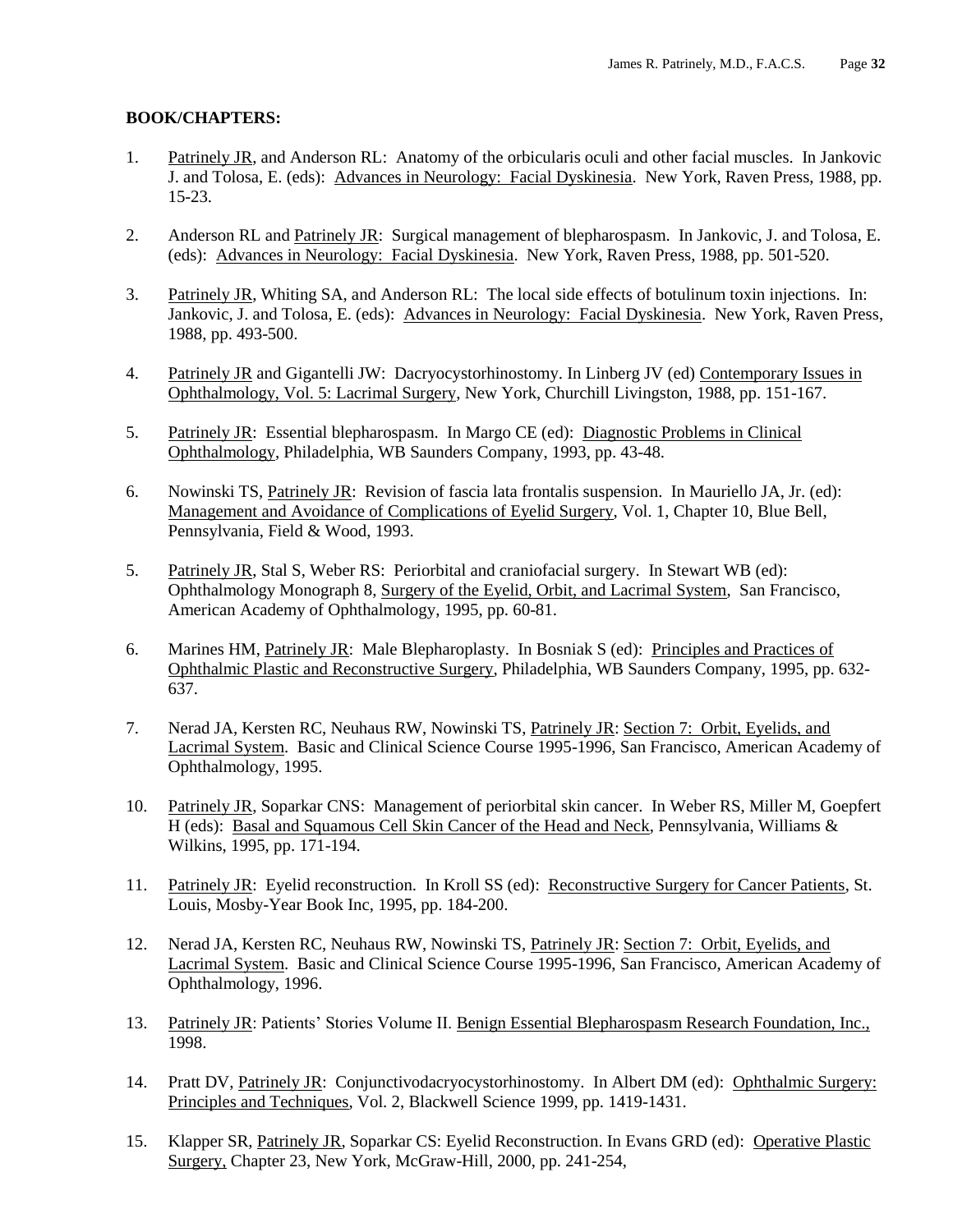#### **BOOK/CHAPTERS:**

- 1. Patrinely JR, and Anderson RL: Anatomy of the orbicularis oculi and other facial muscles. In Jankovic J. and Tolosa, E. (eds): Advances in Neurology: Facial Dyskinesia. New York, Raven Press, 1988, pp. 15-23.
- 2. Anderson RL and Patrinely JR: Surgical management of blepharospasm. In Jankovic, J. and Tolosa, E. (eds): Advances in Neurology: Facial Dyskinesia. New York, Raven Press, 1988, pp. 501-520.
- 3. Patrinely JR, Whiting SA, and Anderson RL: The local side effects of botulinum toxin injections. In: Jankovic, J. and Tolosa, E. (eds): Advances in Neurology: Facial Dyskinesia. New York, Raven Press, 1988, pp. 493-500.
- 4. Patrinely JR and Gigantelli JW: Dacryocystorhinostomy. In Linberg JV (ed) Contemporary Issues in Ophthalmology, Vol. 5: Lacrimal Surgery, New York, Churchill Livingston, 1988, pp. 151-167.
- 5. Patrinely JR: Essential blepharospasm. In Margo CE (ed): Diagnostic Problems in Clinical Ophthalmology, Philadelphia, WB Saunders Company, 1993, pp. 43-48.
- 6. Nowinski TS, Patrinely JR: Revision of fascia lata frontalis suspension. In Mauriello JA, Jr. (ed): Management and Avoidance of Complications of Eyelid Surgery, Vol. 1, Chapter 10, Blue Bell, Pennsylvania, Field & Wood, 1993.
- 5. Patrinely JR, Stal S, Weber RS: Periorbital and craniofacial surgery. In Stewart WB (ed): Ophthalmology Monograph 8, Surgery of the Eyelid, Orbit, and Lacrimal System, San Francisco, American Academy of Ophthalmology, 1995, pp. 60-81.
- 6. Marines HM, Patrinely JR: Male Blepharoplasty. In Bosniak S (ed): Principles and Practices of Ophthalmic Plastic and Reconstructive Surgery, Philadelphia, WB Saunders Company, 1995, pp. 632- 637.
- 7. Nerad JA, Kersten RC, Neuhaus RW, Nowinski TS, Patrinely JR: Section 7: Orbit, Eyelids, and Lacrimal System. Basic and Clinical Science Course 1995-1996, San Francisco, American Academy of Ophthalmology, 1995.
- 10. Patrinely JR, Soparkar CNS: Management of periorbital skin cancer. In Weber RS, Miller M, Goepfert H (eds): Basal and Squamous Cell Skin Cancer of the Head and Neck, Pennsylvania, Williams & Wilkins, 1995, pp. 171-194.
- 11. Patrinely JR: Eyelid reconstruction. In Kroll SS (ed): Reconstructive Surgery for Cancer Patients, St. Louis, Mosby-Year Book Inc, 1995, pp. 184-200.
- 12. Nerad JA, Kersten RC, Neuhaus RW, Nowinski TS, Patrinely JR: Section 7: Orbit, Eyelids, and Lacrimal System. Basic and Clinical Science Course 1995-1996, San Francisco, American Academy of Ophthalmology, 1996.
- 13. Patrinely JR: Patients' Stories Volume II. Benign Essential Blepharospasm Research Foundation, Inc., 1998.
- 14. Pratt DV, Patrinely JR: Conjunctivodacryocystorhinostomy. In Albert DM (ed): Ophthalmic Surgery: Principles and Techniques, Vol. 2, Blackwell Science 1999, pp. 1419-1431.
- 15. Klapper SR, Patrinely JR, Soparkar CS: Eyelid Reconstruction. In Evans GRD (ed): Operative Plastic Surgery, Chapter 23, New York, McGraw-Hill, 2000, pp. 241-254,